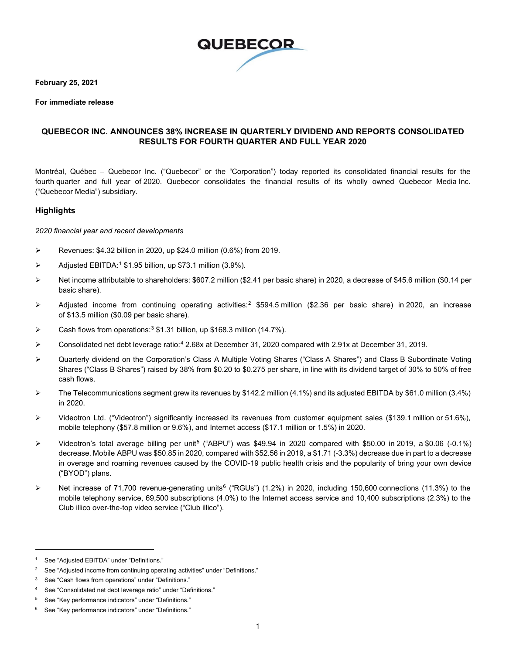

**February 25, 2021**

**For immediate release**

#### **QUEBECOR INC. ANNOUNCES 38% INCREASE IN QUARTERLY DIVIDEND AND REPORTS CONSOLIDATED RESULTS FOR FOURTH QUARTER AND FULL YEAR 2020**

Montréal, Québec – Quebecor Inc. ("Quebecor" or the "Corporation") today reported its consolidated financial results for the fourth quarter and full year of 2020. Quebecor consolidates the financial results of its wholly owned Quebecor Media Inc. ("Quebecor Media") subsidiary.

#### **Highlights**

*2020 financial year and recent developments*

- $\triangleright$  Revenues: \$4.32 billion in 2020, up \$24.0 million (0.6%) from 2019.
- $\triangleright$  Adjusted EBITDA:<sup>[1](#page-0-0)</sup> \$1.95 billion, up \$73.1 million (3.9%).
- Net income attributable to shareholders: \$607.2 million (\$2.41 per basic share) in 2020, a decrease of \$45.6 million (\$0.14 per basic share).
- $\triangleright$  Adjusted income from continuing operating activities:<sup>2</sup> \$594.5 million (\$2.36 per basic share) in 2020, an increase of \$13.5 million (\$0.09 per basic share).
- Eash flows from operations:<sup>[3](#page-0-2)</sup> \$1.31 billion, up \$168.3 million (14.7%).
- $\triangleright$  Consolidated net debt leverage ratio:<sup>[4](#page-0-3)</sup> 2.68x at December 31, 2020 compared with 2.91x at December 31, 2019.
- Quarterly dividend on the Corporation's Class A Multiple Voting Shares ("Class A Shares") and Class B Subordinate Voting Shares ("Class B Shares") raised by 38% from \$0.20 to \$0.275 per share, in line with its dividend target of 30% to 50% of free cash flows.
- The Telecommunications segment grew its revenues by \$142.2 million (4.1%) and its adjusted EBITDA by \$61.0 million (3.4%) in 2020.
- Videotron Ltd. ("Videotron") significantly increased its revenues from customer equipment sales (\$139.1 million or 51.6%), mobile telephony (\$57.8 million or 9.6%), and Internet access (\$17.1 million or 1.5%) in 2020.
- Videotron's total average billing per unit[5](#page-0-4) ("ABPU") was \$49.94 in 2020 compared with \$50.00 in 2019, a \$0.06 (-0.1%) decrease. Mobile ABPU was \$50.85 in 2020, compared with \$52.56 in 2019, a \$1.71 (-3.3%) decrease due in part to a decrease in overage and roaming revenues caused by the COVID-19 public health crisis and the popularity of bring your own device ("BYOD") plans.
- Net increase of 71,700 revenue-generating units<sup>[6](#page-0-5)</sup> ("RGUs") (1.2%) in 2020, including 150,600 connections (11.3%) to the mobile telephony service, 69,500 subscriptions (4.0%) to the Internet access service and 10,400 subscriptions (2.3%) to the Club illico over-the-top video service ("Club illico").

<span id="page-0-0"></span><sup>1</sup> See "Adjusted EBITDA" under "Definitions."

<span id="page-0-1"></span><sup>&</sup>lt;sup>2</sup> See "Adjusted income from continuing operating activities" under "Definitions."

<span id="page-0-2"></span><sup>3</sup> See "Cash flows from operations" under "Definitions."

<span id="page-0-3"></span><sup>4</sup> See "Consolidated net debt leverage ratio" under "Definitions."

<span id="page-0-4"></span><sup>5</sup> See "Key performance indicators" under "Definitions."

<span id="page-0-5"></span><sup>6</sup> See "Key performance indicators" under "Definitions."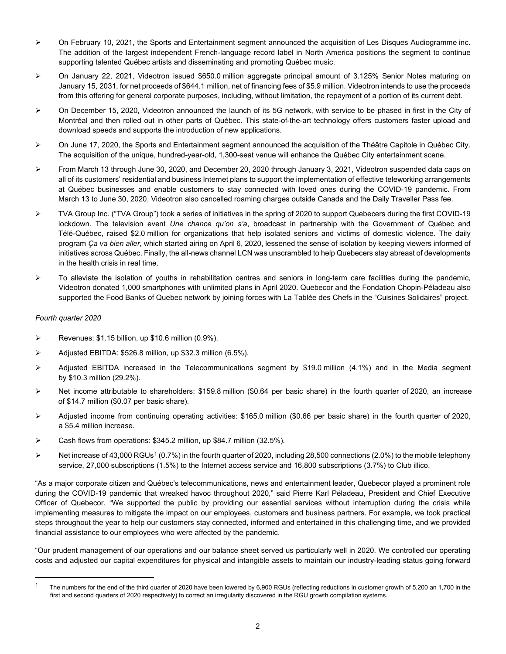- $\triangleright$  On February 10, 2021, the Sports and Entertainment segment announced the acquisition of Les Disques Audiogramme inc. The addition of the largest independent French-language record label in North America positions the segment to continue supporting talented Québec artists and disseminating and promoting Québec music.
- $\triangleright$  On January 22, 2021, Videotron issued \$650.0 million aggregate principal amount of 3.125% Senior Notes maturing on January 15, 2031, for net proceeds of \$644.1 million, net of financing fees of \$5.9 million. Videotron intends to use the proceeds from this offering for general corporate purposes, including, without limitation, the repayment of a portion of its current debt.
- On December 15, 2020, Videotron announced the launch of its 5G network, with service to be phased in first in the City of Montréal and then rolled out in other parts of Québec. This state-of-the-art technology offers customers faster upload and download speeds and supports the introduction of new applications.
- On June 17, 2020, the Sports and Entertainment segment announced the acquisition of the Théâtre Capitole in Québec City. The acquisition of the unique, hundred-year-old, 1,300-seat venue will enhance the Québec City entertainment scene.
- From March 13 through June 30, 2020, and December 20, 2020 through January 3, 2021, Videotron suspended data caps on all of its customers' residential and business Internet plans to support the implementation of effective teleworking arrangements at Québec businesses and enable customers to stay connected with loved ones during the COVID-19 pandemic. From March 13 to June 30, 2020, Videotron also cancelled roaming charges outside Canada and the Daily Traveller Pass fee.
- TVA Group Inc. ("TVA Group") took a series of initiatives in the spring of 2020 to support Quebecers during the first COVID-19 lockdown. The television event *Une chance qu'on s'a*, broadcast in partnership with the Government of Québec and Télé-Québec, raised \$2.0 million for organizations that help isolated seniors and victims of domestic violence. The daily program *Ça va bien aller*, which started airing on April 6, 2020, lessened the sense of isolation by keeping viewers informed of initiatives across Québec. Finally, the all-news channel LCN was unscrambled to help Quebecers stay abreast of developments in the health crisis in real time.
- $\triangleright$  To alleviate the isolation of youths in rehabilitation centres and seniors in long-term care facilities during the pandemic, Videotron donated 1,000 smartphones with unlimited plans in April 2020. Quebecor and the Fondation Chopin-Péladeau also supported the Food Banks of Quebec network by joining forces with La Tablée des Chefs in the "Cuisines Solidaires" project.

#### *Fourth quarter 2020*

- $\triangleright$  Revenues: \$1.15 billion, up \$10.6 million (0.9%).
- $\triangleright$  Adjusted EBITDA: \$526.8 million, up \$32.3 million (6.5%).
- $\triangleright$  Adjusted EBITDA increased in the Telecommunications segment by \$19.0 million (4.1%) and in the Media segment by \$10.3 million (29.2%).
- $\triangleright$  Net income attributable to shareholders: \$159.8 million (\$0.64 per basic share) in the fourth quarter of 2020, an increase of \$14.7 million (\$0.07 per basic share).
- $\triangleright$  Adjusted income from continuing operating activities: \$165.0 million (\$0.66 per basic share) in the fourth quarter of 2020, a \$5.4 million increase.
- $\triangleright$  Cash flows from operations: \$345.2 million, up \$84.7 million (32.5%).
- $\triangleright$  Net increase of 43,000 RGUs<sup>[1](#page-1-0)</sup> (0.7%) in the fourth quarter of 2020, including 28,500 connections (2.0%) to the mobile telephony service, 27,000 subscriptions (1.5%) to the Internet access service and 16,800 subscriptions (3.7%) to Club illico.

"As a major corporate citizen and Québec's telecommunications, news and entertainment leader, Quebecor played a prominent role during the COVID-19 pandemic that wreaked havoc throughout 2020," said Pierre Karl Péladeau, President and Chief Executive Officer of Quebecor. "We supported the public by providing our essential services without interruption during the crisis while implementing measures to mitigate the impact on our employees, customers and business partners. For example, we took practical steps throughout the year to help our customers stay connected, informed and entertained in this challenging time, and we provided financial assistance to our employees who were affected by the pandemic.

"Our prudent management of our operations and our balance sheet served us particularly well in 2020. We controlled our operating costs and adjusted our capital expenditures for physical and intangible assets to maintain our industry-leading status going forward

<span id="page-1-0"></span><sup>&</sup>lt;sup>1</sup> The numbers for the end of the third quarter of 2020 have been lowered by 6,900 RGUs (reflecting reductions in customer growth of 5,200 an 1,700 in the first and second quarters of 2020 respectively) to correct an irregularity discovered in the RGU growth compilation systems.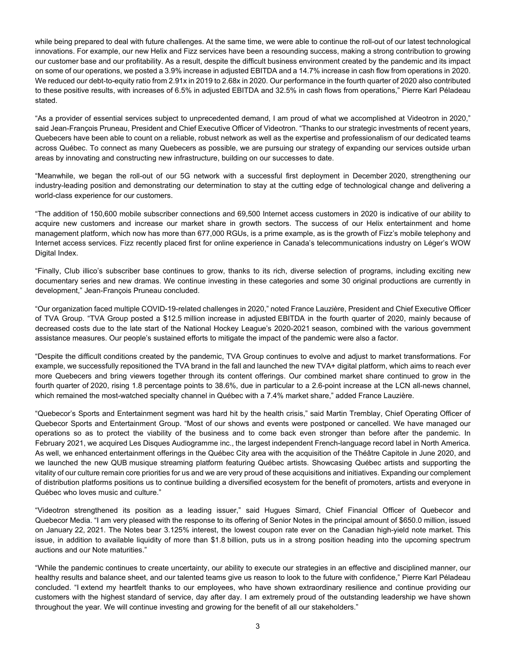while being prepared to deal with future challenges. At the same time, we were able to continue the roll-out of our latest technological innovations. For example, our new Helix and Fizz services have been a resounding success, making a strong contribution to growing our customer base and our profitability. As a result, despite the difficult business environment created by the pandemic and its impact on some of our operations, we posted a 3.9% increase in adjusted EBITDA and a 14.7% increase in cash flow from operations in 2020. We reduced our debt-to-equity ratio from 2.91x in 2019 to 2.68x in 2020. Our performance in the fourth quarter of 2020 also contributed to these positive results, with increases of 6.5% in adjusted EBITDA and 32.5% in cash flows from operations," Pierre Karl Péladeau stated.

"As a provider of essential services subject to unprecedented demand, I am proud of what we accomplished at Videotron in 2020," said Jean-François Pruneau, President and Chief Executive Officer of Videotron. "Thanks to our strategic investments of recent years, Quebecers have been able to count on a reliable, robust network as well as the expertise and professionalism of our dedicated teams across Québec. To connect as many Quebecers as possible, we are pursuing our strategy of expanding our services outside urban areas by innovating and constructing new infrastructure, building on our successes to date.

"Meanwhile, we began the roll-out of our 5G network with a successful first deployment in December 2020, strengthening our industry-leading position and demonstrating our determination to stay at the cutting edge of technological change and delivering a world-class experience for our customers.

"The addition of 150,600 mobile subscriber connections and 69,500 Internet access customers in 2020 is indicative of our ability to acquire new customers and increase our market share in growth sectors. The success of our Helix entertainment and home management platform, which now has more than 677,000 RGUs, is a prime example, as is the growth of Fizz's mobile telephony and Internet access services. Fizz recently placed first for online experience in Canada's telecommunications industry on Léger's WOW Digital Index.

"Finally, Club illico's subscriber base continues to grow, thanks to its rich, diverse selection of programs, including exciting new documentary series and new dramas. We continue investing in these categories and some 30 original productions are currently in development," Jean-François Pruneau concluded.

"Our organization faced multiple COVID-19-related challenges in 2020," noted France Lauzière, President and Chief Executive Officer of TVA Group. "TVA Group posted a \$12.5 million increase in adjusted EBITDA in the fourth quarter of 2020, mainly because of decreased costs due to the late start of the National Hockey League's 2020-2021 season, combined with the various government assistance measures. Our people's sustained efforts to mitigate the impact of the pandemic were also a factor.

"Despite the difficult conditions created by the pandemic, TVA Group continues to evolve and adjust to market transformations. For example, we successfully repositioned the TVA brand in the fall and launched the new TVA+ digital platform, which aims to reach ever more Quebecers and bring viewers together through its content offerings. Our combined market share continued to grow in the fourth quarter of 2020, rising 1.8 percentage points to 38.6%, due in particular to a 2.6-point increase at the LCN all-news channel, which remained the most-watched specialty channel in Québec with a 7.4% market share," added France Lauzière.

"Quebecor's Sports and Entertainment segment was hard hit by the health crisis," said Martin Tremblay, Chief Operating Officer of Quebecor Sports and Entertainment Group. "Most of our shows and events were postponed or cancelled. We have managed our operations so as to protect the viability of the business and to come back even stronger than before after the pandemic. In February 2021, we acquired Les Disques Audiogramme inc., the largest independent French-language record label in North America. As well, we enhanced entertainment offerings in the Québec City area with the acquisition of the Théâtre Capitole in June 2020, and we launched the new QUB musique streaming platform featuring Québec artists. Showcasing Québec artists and supporting the vitality of our culture remain core priorities for us and we are very proud of these acquisitions and initiatives. Expanding our complement of distribution platforms positions us to continue building a diversified ecosystem for the benefit of promoters, artists and everyone in Québec who loves music and culture."

"Videotron strengthened its position as a leading issuer," said Hugues Simard, Chief Financial Officer of Quebecor and Quebecor Media. "I am very pleased with the response to its offering of Senior Notes in the principal amount of \$650.0 million, issued on January 22, 2021. The Notes bear 3.125% interest, the lowest coupon rate ever on the Canadian high-yield note market. This issue, in addition to available liquidity of more than \$1.8 billion, puts us in a strong position heading into the upcoming spectrum auctions and our Note maturities."

"While the pandemic continues to create uncertainty, our ability to execute our strategies in an effective and disciplined manner, our healthy results and balance sheet, and our talented teams give us reason to look to the future with confidence," Pierre Karl Péladeau concluded. "I extend my heartfelt thanks to our employees, who have shown extraordinary resilience and continue providing our customers with the highest standard of service, day after day. I am extremely proud of the outstanding leadership we have shown throughout the year. We will continue investing and growing for the benefit of all our stakeholders."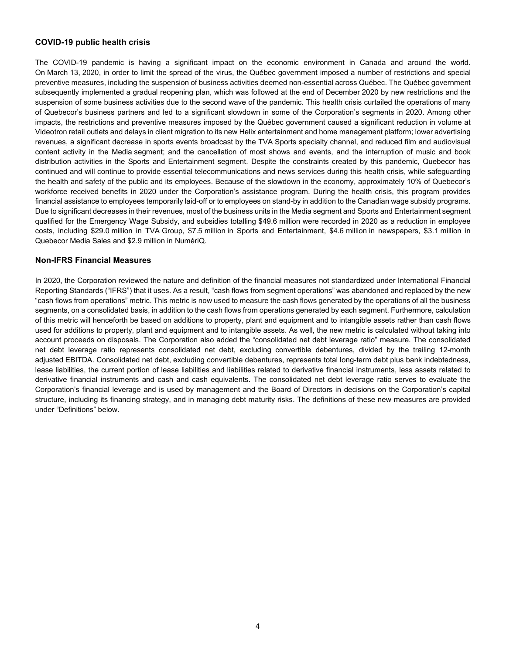#### **COVID-19 public health crisis**

The COVID-19 pandemic is having a significant impact on the economic environment in Canada and around the world. On March 13, 2020, in order to limit the spread of the virus, the Québec government imposed a number of restrictions and special preventive measures, including the suspension of business activities deemed non-essential across Québec. The Québec government subsequently implemented a gradual reopening plan, which was followed at the end of December 2020 by new restrictions and the suspension of some business activities due to the second wave of the pandemic. This health crisis curtailed the operations of many of Quebecor's business partners and led to a significant slowdown in some of the Corporation's segments in 2020. Among other impacts, the restrictions and preventive measures imposed by the Québec government caused a significant reduction in volume at Videotron retail outlets and delays in client migration to its new Helix entertainment and home management platform; lower advertising revenues, a significant decrease in sports events broadcast by the TVA Sports specialty channel, and reduced film and audiovisual content activity in the Media segment; and the cancellation of most shows and events, and the interruption of music and book distribution activities in the Sports and Entertainment segment. Despite the constraints created by this pandemic, Quebecor has continued and will continue to provide essential telecommunications and news services during this health crisis, while safeguarding the health and safety of the public and its employees. Because of the slowdown in the economy, approximately 10% of Quebecor's workforce received benefits in 2020 under the Corporation's assistance program. During the health crisis, this program provides financial assistance to employees temporarily laid-off or to employees on stand-by in addition to the Canadian wage subsidy programs. Due to significant decreases in their revenues, most of the business units in the Media segment and Sports and Entertainment segment qualified for the Emergency Wage Subsidy, and subsidies totalling \$49.6 million were recorded in 2020 as a reduction in employee costs, including \$29.0 million in TVA Group, \$7.5 million in Sports and Entertainment, \$4.6 million in newspapers, \$3.1 million in Quebecor Media Sales and \$2.9 million in NumériQ.

#### **Non-IFRS Financial Measures**

In 2020, the Corporation reviewed the nature and definition of the financial measures not standardized under International Financial Reporting Standards ("IFRS") that it uses. As a result, "cash flows from segment operations" was abandoned and replaced by the new "cash flows from operations" metric. This metric is now used to measure the cash flows generated by the operations of all the business segments, on a consolidated basis, in addition to the cash flows from operations generated by each segment. Furthermore, calculation of this metric will henceforth be based on additions to property, plant and equipment and to intangible assets rather than cash flows used for additions to property, plant and equipment and to intangible assets. As well, the new metric is calculated without taking into account proceeds on disposals. The Corporation also added the "consolidated net debt leverage ratio" measure. The consolidated net debt leverage ratio represents consolidated net debt, excluding convertible debentures, divided by the trailing 12-month adjusted EBITDA. Consolidated net debt, excluding convertible debentures, represents total long-term debt plus bank indebtedness, lease liabilities, the current portion of lease liabilities and liabilities related to derivative financial instruments, less assets related to derivative financial instruments and cash and cash equivalents. The consolidated net debt leverage ratio serves to evaluate the Corporation's financial leverage and is used by management and the Board of Directors in decisions on the Corporation's capital structure, including its financing strategy, and in managing debt maturity risks. The definitions of these new measures are provided under "Definitions" below.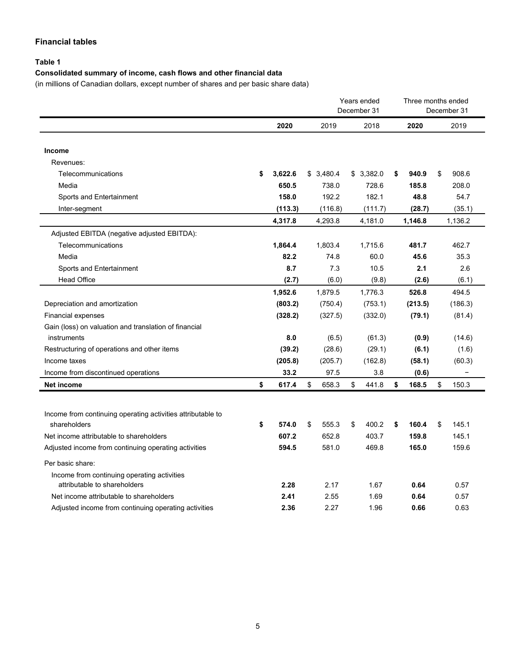### **Financial tables**

### **Table 1**

### **Consolidated summary of income, cash flows and other financial data**

(in millions of Canadian dollars, except number of shares and per basic share data)

|                                                             |               |             | Years ended<br>December 31 |           |    | Three months ended | December 31 |
|-------------------------------------------------------------|---------------|-------------|----------------------------|-----------|----|--------------------|-------------|
|                                                             | 2020          | 2019        |                            | 2018      |    | 2020               | 2019        |
| Income                                                      |               |             |                            |           |    |                    |             |
| Revenues:                                                   |               |             |                            |           |    |                    |             |
| Telecommunications                                          | \$<br>3,622.6 | \$3,480.4   |                            | \$3,382.0 | \$ | 940.9              | \$<br>908.6 |
| Media                                                       | 650.5         | 738.0       |                            | 728.6     |    | 185.8              | 208.0       |
| Sports and Entertainment                                    | 158.0         | 192.2       |                            | 182.1     |    | 48.8               | 54.7        |
| Inter-segment                                               | (113.3)       | (116.8)     |                            | (111.7)   |    | (28.7)             | (35.1)      |
|                                                             | 4,317.8       | 4,293.8     |                            | 4,181.0   |    | 1,146.8            | 1,136.2     |
| Adjusted EBITDA (negative adjusted EBITDA):                 |               |             |                            |           |    |                    |             |
| Telecommunications                                          | 1,864.4       | 1,803.4     |                            | 1,715.6   |    | 481.7              | 462.7       |
| Media                                                       | 82.2          | 74.8        |                            | 60.0      |    | 45.6               | 35.3        |
| Sports and Entertainment                                    | 8.7           | 7.3         |                            | 10.5      |    | 2.1                | 2.6         |
| <b>Head Office</b>                                          | (2.7)         | (6.0)       |                            | (9.8)     |    | (2.6)              | (6.1)       |
|                                                             | 1,952.6       | 1,879.5     |                            | 1,776.3   |    | 526.8              | 494.5       |
| Depreciation and amortization                               | (803.2)       | (750.4)     |                            | (753.1)   |    | (213.5)            | (186.3)     |
| <b>Financial expenses</b>                                   | (328.2)       | (327.5)     |                            | (332.0)   |    | (79.1)             | (81.4)      |
| Gain (loss) on valuation and translation of financial       |               |             |                            |           |    |                    |             |
| instruments                                                 | 8.0           | (6.5)       |                            | (61.3)    |    | (0.9)              | (14.6)      |
| Restructuring of operations and other items                 | (39.2)        | (28.6)      |                            | (29.1)    |    | (6.1)              | (1.6)       |
| Income taxes                                                | (205.8)       | (205.7)     |                            | (162.8)   |    | (58.1)             | (60.3)      |
| Income from discontinued operations                         | 33.2          | 97.5        |                            | 3.8       |    | (0.6)              |             |
| Net income                                                  | \$<br>617.4   | \$<br>658.3 | \$                         | 441.8     | \$ | 168.5              | \$<br>150.3 |
|                                                             |               |             |                            |           |    |                    |             |
| Income from continuing operating activities attributable to |               |             |                            |           |    |                    |             |
| shareholders                                                | \$<br>574.0   | \$<br>555.3 | \$                         | 400.2     | \$ | 160.4              | \$<br>145.1 |
| Net income attributable to shareholders                     | 607.2         | 652.8       |                            | 403.7     |    | 159.8              | 145.1       |
| Adjusted income from continuing operating activities        | 594.5         | 581.0       |                            | 469.8     |    | 165.0              | 159.6       |
| Per basic share:                                            |               |             |                            |           |    |                    |             |
| Income from continuing operating activities                 |               |             |                            |           |    |                    |             |
| attributable to shareholders                                | 2.28          | 2.17        |                            | 1.67      |    | 0.64               | 0.57        |
| Net income attributable to shareholders                     | 2.41          | 2.55        |                            | 1.69      |    | 0.64               | 0.57        |
| Adjusted income from continuing operating activities        | 2.36          | 2.27        |                            | 1.96      |    | 0.66               | 0.63        |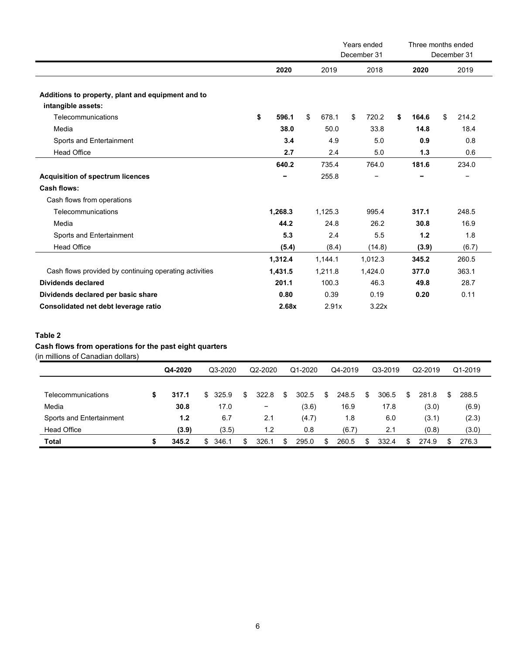|                                                                         |    |         |    |         | Years ended<br>December 31 | Three months ended | December 31 |
|-------------------------------------------------------------------------|----|---------|----|---------|----------------------------|--------------------|-------------|
|                                                                         |    | 2020    |    | 2019    | 2018                       | 2020               | 2019        |
|                                                                         |    |         |    |         |                            |                    |             |
| Additions to property, plant and equipment and to<br>intangible assets: |    |         |    |         |                            |                    |             |
| Telecommunications                                                      | \$ | 596.1   | \$ | 678.1   | \$<br>720.2                | \$<br>164.6        | \$<br>214.2 |
| Media                                                                   |    | 38.0    |    | 50.0    | 33.8                       | 14.8               | 18.4        |
| Sports and Entertainment                                                |    | 3.4     |    | 4.9     | 5.0                        | 0.9                | 0.8         |
| <b>Head Office</b>                                                      |    | 2.7     |    | 2.4     | 5.0                        | 1.3                | 0.6         |
|                                                                         |    | 640.2   |    | 735.4   | 764.0                      | 181.6              | 234.0       |
| <b>Acquisition of spectrum licences</b>                                 |    |         |    | 255.8   |                            |                    |             |
| Cash flows:                                                             |    |         |    |         |                            |                    |             |
| Cash flows from operations                                              |    |         |    |         |                            |                    |             |
| Telecommunications                                                      |    | 1,268.3 |    | 1,125.3 | 995.4                      | 317.1              | 248.5       |
| Media                                                                   |    | 44.2    |    | 24.8    | 26.2                       | 30.8               | 16.9        |
| Sports and Entertainment                                                |    | 5.3     |    | 2.4     | 5.5                        | 1.2                | 1.8         |
| <b>Head Office</b>                                                      |    | (5.4)   |    | (8.4)   | (14.8)                     | (3.9)              | (6.7)       |
|                                                                         |    | 1,312.4 |    | 1,144.1 | 1,012.3                    | 345.2              | 260.5       |
| Cash flows provided by continuing operating activities                  |    | 1,431.5 |    | 1,211.8 | 1,424.0                    | 377.0              | 363.1       |
| <b>Dividends declared</b>                                               |    | 201.1   |    | 100.3   | 46.3                       | 49.8               | 28.7        |
| Dividends declared per basic share                                      |    | 0.80    |    | 0.39    | 0.19                       | 0.20               | 0.11        |
| Consolidated net debt leverage ratio                                    |    | 2.68x   |    | 2.91x   | 3.22x                      |                    |             |

### **Table 2**

### **Cash flows from operations for the past eight quarters**

(in millions of Canadian dollars)

|                          | Q4-2020 |    | Q3-2020 | Q2-2020 |       | Q1-2020 | Q4-2019 |    | Q3-2019 |    | Q2-2019 |     | Q1-2019 |       |
|--------------------------|---------|----|---------|---------|-------|---------|---------|----|---------|----|---------|-----|---------|-------|
|                          |         |    |         |         |       |         |         |    |         |    |         |     |         |       |
| Telecommunications       | 317.1   | S. | 325.9   | \$.     | 322.8 | S       | 302.5   | S  | 248.5   | \$ | 306.5   | \$. | 281.8   | 288.5 |
| Media                    | 30.8    |    | 17.0    |         | -     |         | (3.6)   |    | 16.9    |    | 17.8    |     | (3.0)   | (6.9) |
| Sports and Entertainment | 1.2     |    | 6.7     |         | 2.1   |         | (4.7)   |    | 1.8     |    | 6.0     |     | (3.1)   | (2.3) |
| <b>Head Office</b>       | (3.9)   |    | (3.5)   |         | 1.2   |         | 0.8     |    | (6.7)   |    | 2.1     |     | (0.8)   | (3.0) |
| <b>Total</b>             | 345.2   |    | 346.1   |         | 326.7 |         | 295.0   | .ፍ | 260.5   | \$ | 332.4   |     | 274.9   | 276.3 |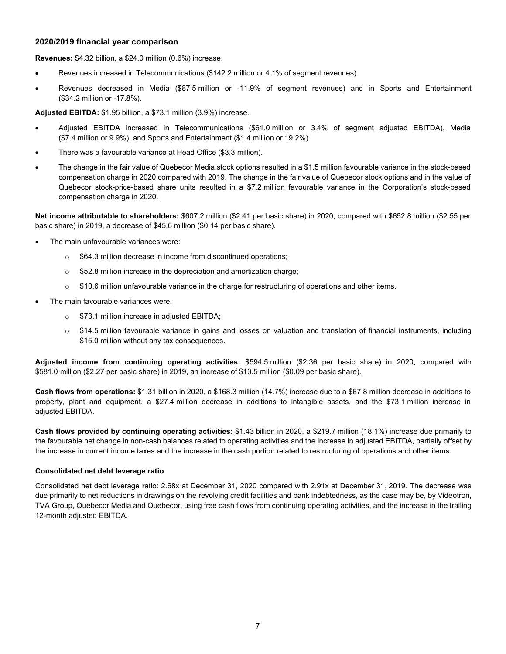#### **2020/2019 financial year comparison**

**Revenues:** \$4.32 billion, a \$24.0 million (0.6%) increase.

- Revenues increased in Telecommunications (\$142.2 million or 4.1% of segment revenues).
- Revenues decreased in Media (\$87.5 million or -11.9% of segment revenues) and in Sports and Entertainment (\$34.2 million or -17.8%).

**Adjusted EBITDA:** \$1.95 billion, a \$73.1 million (3.9%) increase.

- Adjusted EBITDA increased in Telecommunications (\$61.0 million or 3.4% of segment adjusted EBITDA), Media (\$7.4 million or 9.9%), and Sports and Entertainment (\$1.4 million or 19.2%).
- There was a favourable variance at Head Office (\$3.3 million).
- The change in the fair value of Quebecor Media stock options resulted in a \$1.5 million favourable variance in the stock-based compensation charge in 2020 compared with 2019. The change in the fair value of Quebecor stock options and in the value of Quebecor stock-price-based share units resulted in a \$7.2 million favourable variance in the Corporation's stock-based compensation charge in 2020.

**Net income attributable to shareholders:** \$607.2 million (\$2.41 per basic share) in 2020, compared with \$652.8 million (\$2.55 per basic share) in 2019, a decrease of \$45.6 million (\$0.14 per basic share).

- The main unfavourable variances were:
	- o \$64.3 million decrease in income from discontinued operations;
	- o \$52.8 million increase in the depreciation and amortization charge;
	- $\circ$  \$10.6 million unfavourable variance in the charge for restructuring of operations and other items.
- The main favourable variances were:
	- o \$73.1 million increase in adjusted EBITDA;
	- $\circ$  \$14.5 million favourable variance in gains and losses on valuation and translation of financial instruments, including \$15.0 million without any tax consequences.

**Adjusted income from continuing operating activities:** \$594.5 million (\$2.36 per basic share) in 2020, compared with \$581.0 million (\$2.27 per basic share) in 2019, an increase of \$13.5 million (\$0.09 per basic share).

**Cash flows from operations:** \$1.31 billion in 2020, a \$168.3 million (14.7%) increase due to a \$67.8 million decrease in additions to property, plant and equipment, a \$27.4 million decrease in additions to intangible assets, and the \$73.1 million increase in adjusted EBITDA.

**Cash flows provided by continuing operating activities:** \$1.43 billion in 2020, a \$219.7 million (18.1%) increase due primarily to the favourable net change in non-cash balances related to operating activities and the increase in adjusted EBITDA, partially offset by the increase in current income taxes and the increase in the cash portion related to restructuring of operations and other items.

#### **Consolidated net debt leverage ratio**

Consolidated net debt leverage ratio: 2.68x at December 31, 2020 compared with 2.91x at December 31, 2019. The decrease was due primarily to net reductions in drawings on the revolving credit facilities and bank indebtedness, as the case may be, by Videotron, TVA Group, Quebecor Media and Quebecor, using free cash flows from continuing operating activities, and the increase in the trailing 12-month adjusted EBITDA.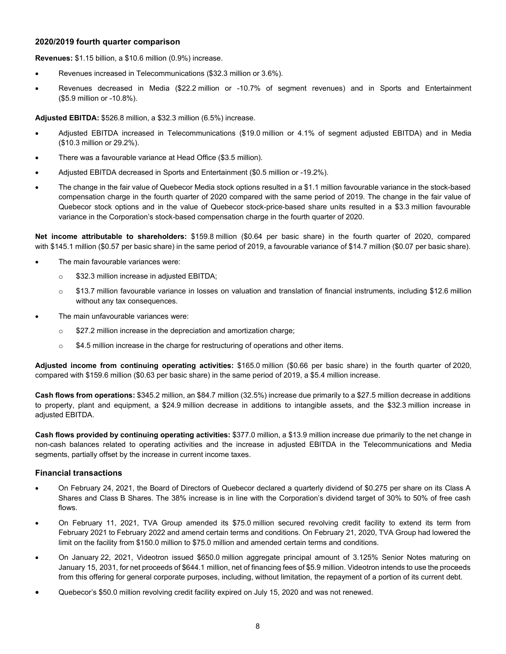#### **2020/2019 fourth quarter comparison**

**Revenues:** \$1.15 billion, a \$10.6 million (0.9%) increase.

- Revenues increased in Telecommunications (\$32.3 million or 3.6%).
- Revenues decreased in Media (\$22.2 million or -10.7% of segment revenues) and in Sports and Entertainment (\$5.9 million or -10.8%).

**Adjusted EBITDA:** \$526.8 million, a \$32.3 million (6.5%) increase.

- Adjusted EBITDA increased in Telecommunications (\$19.0 million or 4.1% of segment adjusted EBITDA) and in Media (\$10.3 million or 29.2%).
- There was a favourable variance at Head Office (\$3.5 million).
- Adjusted EBITDA decreased in Sports and Entertainment (\$0.5 million or -19.2%).
- The change in the fair value of Quebecor Media stock options resulted in a \$1.1 million favourable variance in the stock-based compensation charge in the fourth quarter of 2020 compared with the same period of 2019. The change in the fair value of Quebecor stock options and in the value of Quebecor stock-price-based share units resulted in a \$3.3 million favourable variance in the Corporation's stock-based compensation charge in the fourth quarter of 2020.

**Net income attributable to shareholders:** \$159.8 million (\$0.64 per basic share) in the fourth quarter of 2020, compared with \$145.1 million (\$0.57 per basic share) in the same period of 2019, a favourable variance of \$14.7 million (\$0.07 per basic share).

- The main favourable variances were:
	- **S32.3 million increase in adjusted EBITDA;**
	- $\circ$  \$13.7 million favourable variance in losses on valuation and translation of financial instruments, including \$12.6 million without any tax consequences.
- The main unfavourable variances were:
	- o \$27.2 million increase in the depreciation and amortization charge;
	- $\circ$  \$4.5 million increase in the charge for restructuring of operations and other items.

**Adjusted income from continuing operating activities:** \$165.0 million (\$0.66 per basic share) in the fourth quarter of 2020, compared with \$159.6 million (\$0.63 per basic share) in the same period of 2019, a \$5.4 million increase.

**Cash flows from operations:** \$345.2 million, an \$84.7 million (32.5%) increase due primarily to a \$27.5 million decrease in additions to property, plant and equipment, a \$24.9 million decrease in additions to intangible assets, and the \$32.3 million increase in adjusted EBITDA.

**Cash flows provided by continuing operating activities:** \$377.0 million, a \$13.9 million increase due primarily to the net change in non-cash balances related to operating activities and the increase in adjusted EBITDA in the Telecommunications and Media segments, partially offset by the increase in current income taxes.

#### **Financial transactions**

- On February 24, 2021, the Board of Directors of Quebecor declared a quarterly dividend of \$0.275 per share on its Class A Shares and Class B Shares. The 38% increase is in line with the Corporation's dividend target of 30% to 50% of free cash flows.
- On February 11, 2021, TVA Group amended its \$75.0 million secured revolving credit facility to extend its term from February 2021 to February 2022 and amend certain terms and conditions. On February 21, 2020, TVA Group had lowered the limit on the facility from \$150.0 million to \$75.0 million and amended certain terms and conditions.
- On January 22, 2021, Videotron issued \$650.0 million aggregate principal amount of 3.125% Senior Notes maturing on January 15, 2031, for net proceeds of \$644.1 million, net of financing fees of \$5.9 million. Videotron intends to use the proceeds from this offering for general corporate purposes, including, without limitation, the repayment of a portion of its current debt.
- Quebecor's \$50.0 million revolving credit facility expired on July 15, 2020 and was not renewed.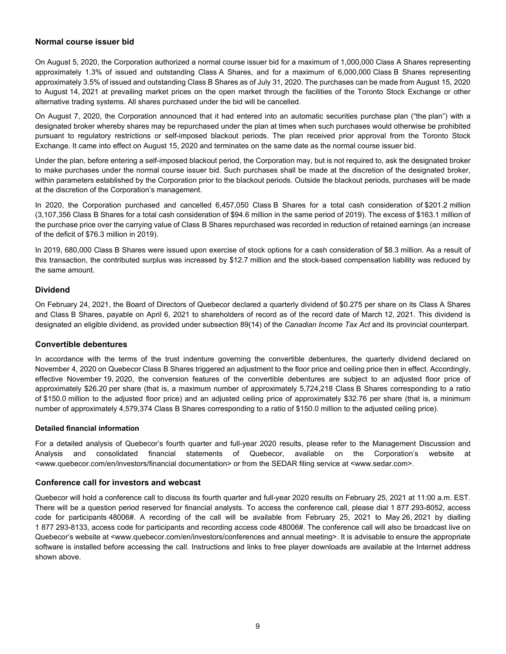#### **Normal course issuer bid**

On August 5, 2020, the Corporation authorized a normal course issuer bid for a maximum of 1,000,000 Class A Shares representing approximately 1.3% of issued and outstanding Class A Shares, and for a maximum of 6,000,000 Class B Shares representing approximately 3.5% of issued and outstanding Class B Shares as of July 31, 2020. The purchases can be made from August 15, 2020 to August 14, 2021 at prevailing market prices on the open market through the facilities of the Toronto Stock Exchange or other alternative trading systems. All shares purchased under the bid will be cancelled.

On August 7, 2020, the Corporation announced that it had entered into an automatic securities purchase plan ("the plan") with a designated broker whereby shares may be repurchased under the plan at times when such purchases would otherwise be prohibited pursuant to regulatory restrictions or self-imposed blackout periods. The plan received prior approval from the Toronto Stock Exchange. It came into effect on August 15, 2020 and terminates on the same date as the normal course issuer bid.

Under the plan, before entering a self-imposed blackout period, the Corporation may, but is not required to, ask the designated broker to make purchases under the normal course issuer bid. Such purchases shall be made at the discretion of the designated broker, within parameters established by the Corporation prior to the blackout periods. Outside the blackout periods, purchases will be made at the discretion of the Corporation's management.

In 2020, the Corporation purchased and cancelled 6,457,050 Class B Shares for a total cash consideration of \$201.2 million (3,107,356 Class B Shares for a total cash consideration of \$94.6 million in the same period of 2019). The excess of \$163.1 million of the purchase price over the carrying value of Class B Shares repurchased was recorded in reduction of retained earnings (an increase of the deficit of \$76.3 million in 2019).

In 2019, 680,000 Class B Shares were issued upon exercise of stock options for a cash consideration of \$8.3 million. As a result of this transaction, the contributed surplus was increased by \$12.7 million and the stock-based compensation liability was reduced by the same amount.

#### **Dividend**

On February 24, 2021, the Board of Directors of Quebecor declared a quarterly dividend of \$0.275 per share on its Class A Shares and Class B Shares, payable on April 6, 2021 to shareholders of record as of the record date of March 12, 2021. This dividend is designated an eligible dividend, as provided under subsection 89(14) of the *Canadian Income Tax Act* and its provincial counterpart.

#### **Convertible debentures**

In accordance with the terms of the trust indenture governing the convertible debentures, the quarterly dividend declared on November 4, 2020 on Quebecor Class B Shares triggered an adjustment to the floor price and ceiling price then in effect. Accordingly, effective November 19, 2020, the conversion features of the convertible debentures are subject to an adjusted floor price of approximately \$26.20 per share (that is, a maximum number of approximately 5,724,218 Class B Shares corresponding to a ratio of \$150.0 million to the adjusted floor price) and an adjusted ceiling price of approximately \$32.76 per share (that is, a minimum number of approximately 4,579,374 Class B Shares corresponding to a ratio of \$150.0 million to the adjusted ceiling price).

#### **Detailed financial information**

For a detailed analysis of Quebecor's fourth quarter and full-year 2020 results, please refer to the Management Discussion and Analysis and consolidated financial statements of Quebecor, available on the Corporation's website at <www.quebecor.com/en/investors/financial documentation> or from the SEDAR filing service at <www.sedar.com>.

#### **Conference call for investors and webcast**

Quebecor will hold a conference call to discuss its fourth quarter and full-year 2020 results on February 25, 2021 at 11:00 a.m. EST. There will be a question period reserved for financial analysts. To access the conference call, please dial 1 877 293-8052, access code for participants 48006#. A recording of the call will be available from February 25, 2021 to May 26, 2021 by dialling 1 877 293-8133, access code for participants and recording access code 48006#. The conference call will also be broadcast live on Quebecor's website at <www.quebecor.com/en/investors/conferences and annual meeting>. It is advisable to ensure the appropriate software is installed before accessing the call. Instructions and links to free player downloads are available at the Internet address shown above.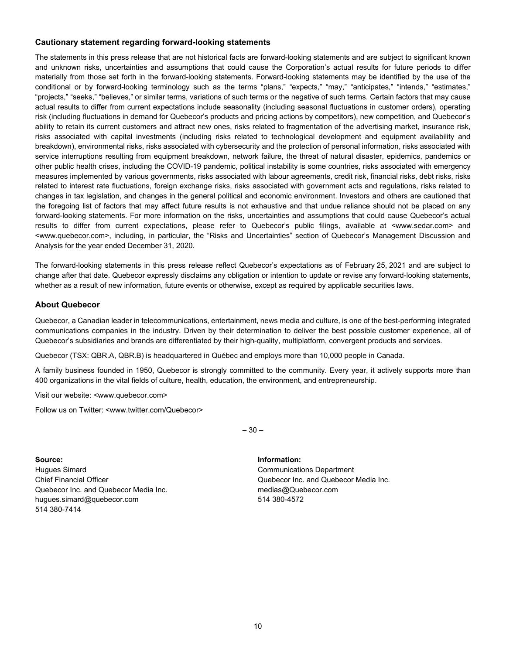#### **Cautionary statement regarding forward-looking statements**

The statements in this press release that are not historical facts are forward-looking statements and are subject to significant known and unknown risks, uncertainties and assumptions that could cause the Corporation's actual results for future periods to differ materially from those set forth in the forward-looking statements. Forward-looking statements may be identified by the use of the conditional or by forward-looking terminology such as the terms "plans," "expects," "may," "anticipates," "intends," "estimates," "projects," "seeks," "believes," or similar terms, variations of such terms or the negative of such terms. Certain factors that may cause actual results to differ from current expectations include seasonality (including seasonal fluctuations in customer orders), operating risk (including fluctuations in demand for Quebecor's products and pricing actions by competitors), new competition, and Quebecor's ability to retain its current customers and attract new ones, risks related to fragmentation of the advertising market, insurance risk, risks associated with capital investments (including risks related to technological development and equipment availability and breakdown), environmental risks, risks associated with cybersecurity and the protection of personal information, risks associated with service interruptions resulting from equipment breakdown, network failure, the threat of natural disaster, epidemics, pandemics or other public health crises, including the COVID-19 pandemic, political instability is some countries, risks associated with emergency measures implemented by various governments, risks associated with labour agreements, credit risk, financial risks, debt risks, risks related to interest rate fluctuations, foreign exchange risks, risks associated with government acts and regulations, risks related to changes in tax legislation, and changes in the general political and economic environment. Investors and others are cautioned that the foregoing list of factors that may affect future results is not exhaustive and that undue reliance should not be placed on any forward-looking statements. For more information on the risks, uncertainties and assumptions that could cause Quebecor's actual results to differ from current expectations, please refer to Quebecor's public filings, available at <www.sedar.com> and <www.quebecor.com>, including, in particular, the "Risks and Uncertainties" section of Quebecor's Management Discussion and Analysis for the year ended December 31, 2020.

The forward-looking statements in this press release reflect Quebecor's expectations as of February 25, 2021 and are subject to change after that date. Quebecor expressly disclaims any obligation or intention to update or revise any forward-looking statements, whether as a result of new information, future events or otherwise, except as required by applicable securities laws.

#### **About Quebecor**

Quebecor, a Canadian leader in telecommunications, entertainment, news media and culture, is one of the best-performing integrated communications companies in the industry. Driven by their determination to deliver the best possible customer experience, all of Quebecor's subsidiaries and brands are differentiated by their high-quality, multiplatform, convergent products and services.

Quebecor (TSX: QBR.A, QBR.B) is headquartered in Québec and employs more than 10,000 people in Canada.

A family business founded in 1950, Quebecor is strongly committed to the community. Every year, it actively supports more than 400 organizations in the vital fields of culture, health, education, the environment, and entrepreneurship.

Visit our website: <www.quebecor.com>

Follow us on Twitter: <www.twitter.com/Quebecor>

 $-30-$ 

**Source: Information:** Hugues Simard Communications Department Chief Financial Officer Quebecor Inc. and Quebecor Media Inc. Quebecor Inc. and Quebecor Media Inc. medias@Quebecor.com hugues.simard@quebecor.com 514 380-4572 514 380-7414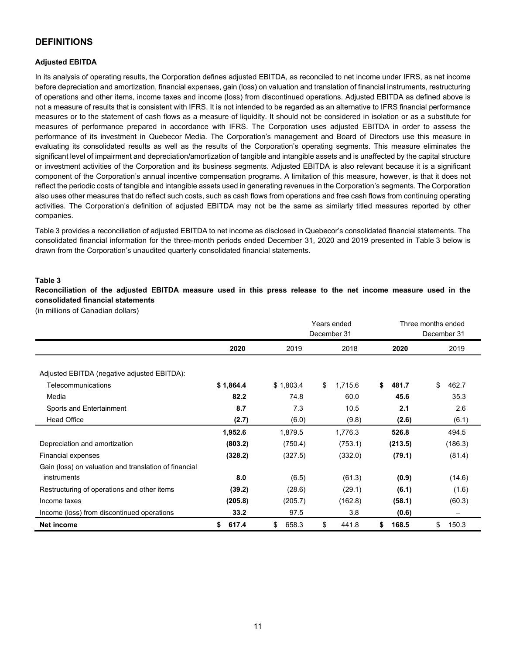### **DEFINITIONS**

#### **Adjusted EBITDA**

In its analysis of operating results, the Corporation defines adjusted EBITDA, as reconciled to net income under IFRS, as net income before depreciation and amortization, financial expenses, gain (loss) on valuation and translation of financial instruments, restructuring of operations and other items, income taxes and income (loss) from discontinued operations. Adjusted EBITDA as defined above is not a measure of results that is consistent with IFRS. It is not intended to be regarded as an alternative to IFRS financial performance measures or to the statement of cash flows as a measure of liquidity. It should not be considered in isolation or as a substitute for measures of performance prepared in accordance with IFRS. The Corporation uses adjusted EBITDA in order to assess the performance of its investment in Quebecor Media. The Corporation's management and Board of Directors use this measure in evaluating its consolidated results as well as the results of the Corporation's operating segments. This measure eliminates the significant level of impairment and depreciation/amortization of tangible and intangible assets and is unaffected by the capital structure or investment activities of the Corporation and its business segments. Adjusted EBITDA is also relevant because it is a significant component of the Corporation's annual incentive compensation programs. A limitation of this measure, however, is that it does not reflect the periodic costs of tangible and intangible assets used in generating revenues in the Corporation's segments. The Corporation also uses other measures that do reflect such costs, such as cash flows from operations and free cash flows from continuing operating activities. The Corporation's definition of adjusted EBITDA may not be the same as similarly titled measures reported by other companies.

Table 3 provides a reconciliation of adjusted EBITDA to net income as disclosed in Quebecor's consolidated financial statements. The consolidated financial information for the three-month periods ended December 31, 2020 and 2019 presented in Table 3 below is drawn from the Corporation's unaudited quarterly consolidated financial statements.

#### **Table 3**

**Reconciliation of the adjusted EBITDA measure used in this press release to the net income measure used in the consolidated financial statements** 

(in millions of Canadian dollars)

|                                                       |             |             | Years ended<br>December 31 |             | Three months ended<br>December 31 |
|-------------------------------------------------------|-------------|-------------|----------------------------|-------------|-----------------------------------|
|                                                       | 2020        | 2019        | 2018                       | 2020        | 2019                              |
| Adjusted EBITDA (negative adjusted EBITDA):           |             |             |                            |             |                                   |
| Telecommunications                                    | \$1,864.4   | \$1,803.4   | \$<br>1,715.6              | \$<br>481.7 | \$<br>462.7                       |
| Media                                                 | 82.2        | 74.8        | 60.0                       | 45.6        | 35.3                              |
| Sports and Entertainment                              | 8.7         | 7.3         | 10.5                       | 2.1         | 2.6                               |
| <b>Head Office</b>                                    | (2.7)       | (6.0)       | (9.8)                      | (2.6)       | (6.1)                             |
|                                                       | 1,952.6     | 1,879.5     | 1,776.3                    | 526.8       | 494.5                             |
| Depreciation and amortization                         | (803.2)     | (750.4)     | (753.1)                    | (213.5)     | (186.3)                           |
| Financial expenses                                    | (328.2)     | (327.5)     | (332.0)                    | (79.1)      | (81.4)                            |
| Gain (loss) on valuation and translation of financial |             |             |                            |             |                                   |
| instruments                                           | 8.0         | (6.5)       | (61.3)                     | (0.9)       | (14.6)                            |
| Restructuring of operations and other items           | (39.2)      | (28.6)      | (29.1)                     | (6.1)       | (1.6)                             |
| Income taxes                                          | (205.8)     | (205.7)     | (162.8)                    | (58.1)      | (60.3)                            |
| Income (loss) from discontinued operations            | 33.2        | 97.5        | 3.8                        | (0.6)       | —                                 |
| Net income                                            | 617.4<br>\$ | \$<br>658.3 | \$<br>441.8                | 168.5<br>\$ | \$<br>150.3                       |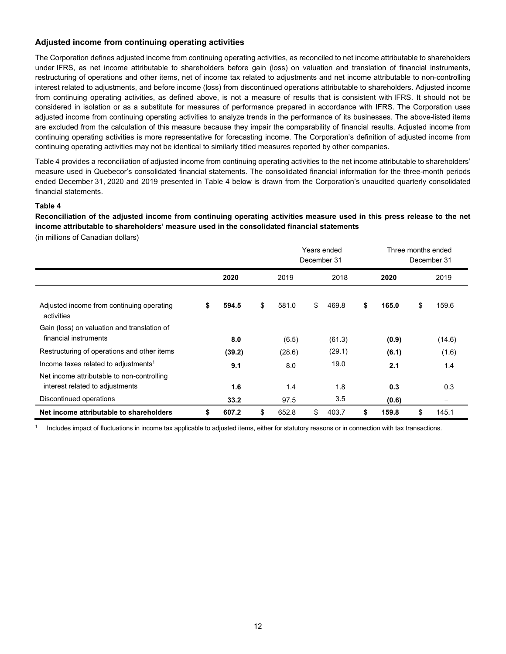#### **Adjusted income from continuing operating activities**

The Corporation defines adjusted income from continuing operating activities, as reconciled to net income attributable to shareholders under IFRS, as net income attributable to shareholders before gain (loss) on valuation and translation of financial instruments, restructuring of operations and other items, net of income tax related to adjustments and net income attributable to non-controlling interest related to adjustments, and before income (loss) from discontinued operations attributable to shareholders. Adjusted income from continuing operating activities, as defined above, is not a measure of results that is consistent with IFRS. It should not be considered in isolation or as a substitute for measures of performance prepared in accordance with IFRS. The Corporation uses adjusted income from continuing operating activities to analyze trends in the performance of its businesses. The above-listed items are excluded from the calculation of this measure because they impair the comparability of financial results. Adjusted income from continuing operating activities is more representative for forecasting income. The Corporation's definition of adjusted income from continuing operating activities may not be identical to similarly titled measures reported by other companies.

Table 4 provides a reconciliation of adjusted income from continuing operating activities to the net income attributable to shareholders' measure used in Quebecor's consolidated financial statements. The consolidated financial information for the three-month periods ended December 31, 2020 and 2019 presented in Table 4 below is drawn from the Corporation's unaudited quarterly consolidated financial statements.

#### **Table 4**

**Reconciliation of the adjusted income from continuing operating activities measure used in this press release to the net income attributable to shareholders' measure used in the consolidated financial statements** 

(in millions of Canadian dollars)

|                                                                               |             |             |      | Years ended<br>December 31 |    |       | Three months ended<br>December 31 |        |
|-------------------------------------------------------------------------------|-------------|-------------|------|----------------------------|----|-------|-----------------------------------|--------|
|                                                                               | 2020        | 2019        | 2018 |                            |    | 2020  | 2019                              |        |
| Adjusted income from continuing operating<br>activities                       | \$<br>594.5 | \$<br>581.0 | \$   | 469.8                      | \$ | 165.0 | \$                                | 159.6  |
| Gain (loss) on valuation and translation of<br>financial instruments          | 8.0         | (6.5)       |      | (61.3)                     |    | (0.9) |                                   | (14.6) |
| Restructuring of operations and other items                                   | (39.2)      | (28.6)      |      | (29.1)                     |    | (6.1) |                                   | (1.6)  |
| Income taxes related to adjustments <sup>1</sup>                              | 9.1         | 8.0         |      | 19.0                       |    | 2.1   |                                   | 1.4    |
| Net income attributable to non-controlling<br>interest related to adjustments | 1.6         | 1.4         |      | 1.8                        |    | 0.3   |                                   | 0.3    |
| Discontinued operations                                                       | 33.2        | 97.5        |      | 3.5                        |    | (0.6) |                                   | -      |
| Net income attributable to shareholders                                       | \$<br>607.2 | \$<br>652.8 | \$   | 403.7                      | \$ | 159.8 | \$                                | 145.1  |

<sup>1</sup> Includes impact of fluctuations in income tax applicable to adjusted items, either for statutory reasons or in connection with tax transactions.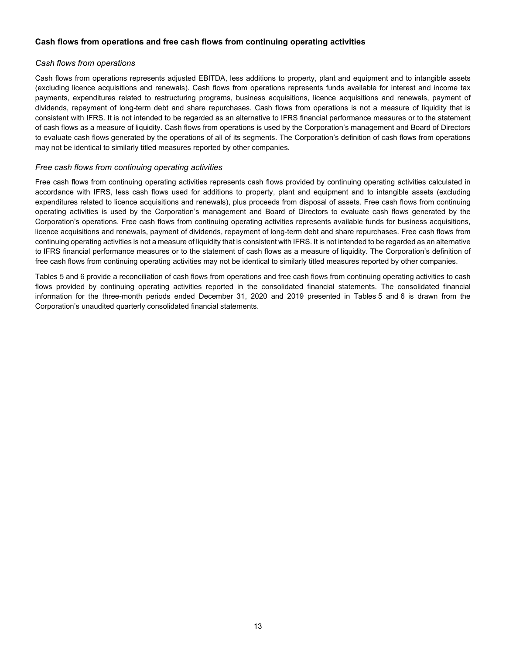#### **Cash flows from operations and free cash flows from continuing operating activities**

#### *Cash flows from operations*

Cash flows from operations represents adjusted EBITDA, less additions to property, plant and equipment and to intangible assets (excluding licence acquisitions and renewals). Cash flows from operations represents funds available for interest and income tax payments, expenditures related to restructuring programs, business acquisitions, licence acquisitions and renewals, payment of dividends, repayment of long-term debt and share repurchases. Cash flows from operations is not a measure of liquidity that is consistent with IFRS. It is not intended to be regarded as an alternative to IFRS financial performance measures or to the statement of cash flows as a measure of liquidity. Cash flows from operations is used by the Corporation's management and Board of Directors to evaluate cash flows generated by the operations of all of its segments. The Corporation's definition of cash flows from operations may not be identical to similarly titled measures reported by other companies.

#### *Free cash flows from continuing operating activities*

Free cash flows from continuing operating activities represents cash flows provided by continuing operating activities calculated in accordance with IFRS, less cash flows used for additions to property, plant and equipment and to intangible assets (excluding expenditures related to licence acquisitions and renewals), plus proceeds from disposal of assets. Free cash flows from continuing operating activities is used by the Corporation's management and Board of Directors to evaluate cash flows generated by the Corporation's operations. Free cash flows from continuing operating activities represents available funds for business acquisitions, licence acquisitions and renewals, payment of dividends, repayment of long-term debt and share repurchases. Free cash flows from continuing operating activities is not a measure of liquidity that is consistent with IFRS. It is not intended to be regarded as an alternative to IFRS financial performance measures or to the statement of cash flows as a measure of liquidity. The Corporation's definition of free cash flows from continuing operating activities may not be identical to similarly titled measures reported by other companies.

Tables 5 and 6 provide a reconciliation of cash flows from operations and free cash flows from continuing operating activities to cash flows provided by continuing operating activities reported in the consolidated financial statements. The consolidated financial information for the three-month periods ended December 31, 2020 and 2019 presented in Tables 5 and 6 is drawn from the Corporation's unaudited quarterly consolidated financial statements.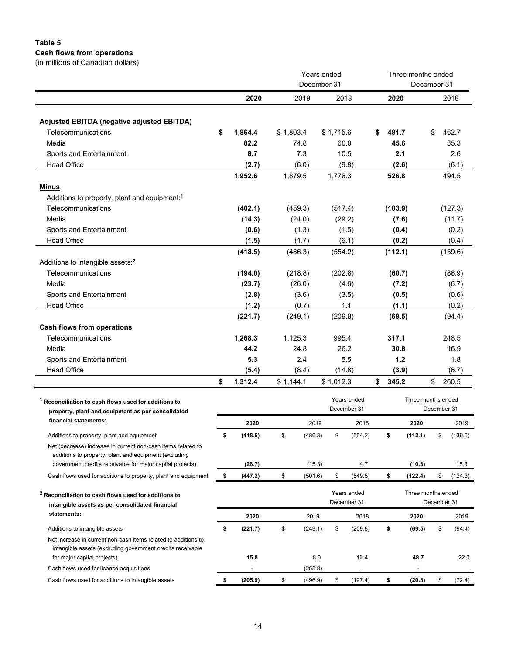### **Table 5 Cash flows from operations**

(in millions of Canadian dollars)

|                                                                                                                              |                       |           |                  | Years ended<br>December 31 |              |    |                | Three months ended<br>December 31 |             |                |
|------------------------------------------------------------------------------------------------------------------------------|-----------------------|-----------|------------------|----------------------------|--------------|----|----------------|-----------------------------------|-------------|----------------|
|                                                                                                                              | 2020                  |           | 2019             |                            | 2018         |    | 2020           |                                   |             | 2019           |
|                                                                                                                              |                       |           |                  |                            |              |    |                |                                   |             |                |
| Adjusted EBITDA (negative adjusted EBITDA)<br>Telecommunications                                                             |                       |           |                  |                            |              |    | 481.7          |                                   | \$          | 462.7          |
| Media                                                                                                                        | \$<br>1,864.4<br>82.2 | \$1,803.4 |                  | \$1,715.6                  |              | S. |                |                                   |             |                |
|                                                                                                                              | 8.7                   |           | 74.8<br>7.3      |                            | 60.0<br>10.5 |    | 45.6<br>2.1    |                                   |             | 35.3<br>2.6    |
| Sports and Entertainment<br><b>Head Office</b>                                                                               |                       |           |                  |                            |              |    |                |                                   |             |                |
|                                                                                                                              | (2.7)<br>1,952.6      |           | (6.0)<br>1,879.5 | 1,776.3                    | (9.8)        |    | (2.6)<br>526.8 |                                   |             | (6.1)<br>494.5 |
| <b>Minus</b>                                                                                                                 |                       |           |                  |                            |              |    |                |                                   |             |                |
| Additions to property, plant and equipment: <sup>1</sup>                                                                     |                       |           |                  |                            |              |    |                |                                   |             |                |
| Telecommunications                                                                                                           | (402.1)               |           | (459.3)          |                            | (517.4)      |    | (103.9)        |                                   |             | (127.3)        |
| Media                                                                                                                        | (14.3)                |           | (24.0)           |                            | (29.2)       |    | (7.6)          |                                   |             | (11.7)         |
| Sports and Entertainment                                                                                                     | (0.6)                 |           | (1.3)            |                            | (1.5)        |    | (0.4)          |                                   |             | (0.2)          |
| <b>Head Office</b>                                                                                                           | (1.5)                 |           | (1.7)            |                            | (6.1)        |    | (0.2)          |                                   |             | (0.4)          |
|                                                                                                                              | (418.5)               |           | (486.3)          |                            | (554.2)      |    | (112.1)        |                                   |             | (139.6)        |
| Additions to intangible assets: <sup>2</sup>                                                                                 |                       |           |                  |                            |              |    |                |                                   |             |                |
| Telecommunications                                                                                                           | (194.0)               |           | (218.8)          |                            | (202.8)      |    | (60.7)         |                                   |             | (86.9)         |
| Media                                                                                                                        | (23.7)                |           | (26.0)           |                            | (4.6)        |    | (7.2)          |                                   |             | (6.7)          |
| Sports and Entertainment                                                                                                     | (2.8)                 |           | (3.6)            |                            | (3.5)        |    | (0.5)          |                                   |             | (0.6)          |
| <b>Head Office</b>                                                                                                           | (1.2)                 |           | (0.7)            |                            | 1.1          |    | (1.1)          |                                   |             | (0.2)          |
|                                                                                                                              | (221.7)               |           | (249.1)          |                            | (209.8)      |    | (69.5)         |                                   |             | (94.4)         |
| <b>Cash flows from operations</b>                                                                                            |                       |           |                  |                            |              |    |                |                                   |             |                |
| Telecommunications                                                                                                           | 1,268.3               |           | 1,125.3          |                            | 995.4        |    | 317.1          |                                   |             | 248.5          |
| Media                                                                                                                        | 44.2                  |           | 24.8             |                            | 26.2         |    | 30.8           |                                   |             | 16.9           |
| Sports and Entertainment                                                                                                     | 5.3                   |           | 2.4              |                            | 5.5          |    | 1.2            |                                   |             | 1.8            |
| <b>Head Office</b>                                                                                                           | (5.4)                 |           | (8.4)            |                            | (14.8)       |    | (3.9)          |                                   |             | (6.7)          |
|                                                                                                                              | \$<br>1,312.4         | \$1,144.1 |                  | \$1,012.3                  |              | \$ | 345.2          |                                   | \$          | 260.5          |
| <sup>1</sup> Reconciliation to cash flows used for additions to                                                              |                       |           |                  |                            | Years ended  |    |                | Three months ended                |             |                |
| property, plant and equipment as per consolidated                                                                            |                       |           |                  |                            | December 31  |    |                |                                   | December 31 |                |
| financial statements:                                                                                                        | 2020                  |           | 2019             |                            | 2018         |    |                | 2020                              |             | 2019           |
| Additions to property, plant and equipment                                                                                   | \$<br>(418.5)         | \$        | (486.3)          | \$                         | (554.2)      |    | \$             | (112.1)                           | \$          | (139.6)        |
| Net (decrease) increase in current non-cash items related to                                                                 |                       |           |                  |                            |              |    |                |                                   |             |                |
| additions to property, plant and equipment (excluding                                                                        |                       |           |                  |                            |              |    |                |                                   |             |                |
| government credits receivable for major capital projects)                                                                    | (28.7)                |           | (15.3)           |                            | 4.7          |    |                | (10.3)                            |             | 15.3           |
| Cash flows used for additions to property, plant and equipment                                                               | \$<br>(447.2)         | \$        | (501.6)          | \$                         | (549.5)      |    | \$             | (122.4)                           | \$          | (124.3)        |
|                                                                                                                              |                       |           |                  |                            | Years ended  |    |                | Three months ended                |             |                |
| <sup>2</sup> Reconciliation to cash flows used for additions to<br>intangible assets as per consolidated financial           |                       |           |                  |                            | December 31  |    |                |                                   | December 31 |                |
| statements:                                                                                                                  | 2020                  |           | 2019             |                            | 2018         |    |                | 2020                              |             | 2019           |
|                                                                                                                              |                       |           |                  |                            |              |    |                |                                   |             |                |
| Additions to intangible assets                                                                                               | \$<br>(221.7)         | \$        | (249.1)          | \$                         | (209.8)      |    | \$             | (69.5)                            | \$          | (94.4)         |
| Net increase in current non-cash items related to additions to<br>intangible assets (excluding government credits receivable |                       |           |                  |                            |              |    |                |                                   |             |                |
| for major capital projects)                                                                                                  | 15.8                  |           | 8.0              |                            | 12.4         |    |                | 48.7                              |             | 22.0           |
| Cash flows used for licence acquisitions                                                                                     |                       |           | (255.8)          |                            |              |    |                |                                   |             |                |
| Cash flows used for additions to intangible assets                                                                           | \$<br>(205.9)         | \$        | (496.9)          | \$                         | (197.4)      |    | \$             | (20.8)                            | \$          | (72.4)         |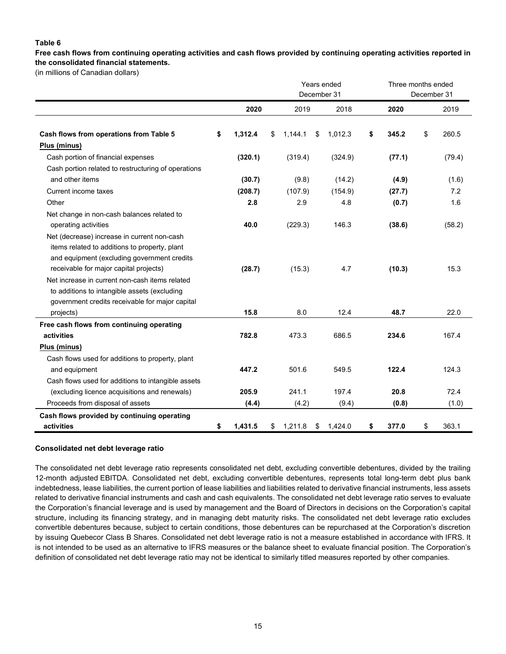#### **Table 6**

**Free cash flows from continuing operating activities and cash flows provided by continuing operating activities reported in the consolidated financial statements.**

(in millions of Canadian dollars)

|                                                                                                                                                                                       |               |               | Years ended<br>December 31 | Three months ended | December 31 |        |
|---------------------------------------------------------------------------------------------------------------------------------------------------------------------------------------|---------------|---------------|----------------------------|--------------------|-------------|--------|
|                                                                                                                                                                                       | 2020          | 2019          | 2018                       | 2020               |             | 2019   |
| Cash flows from operations from Table 5                                                                                                                                               | \$<br>1,312.4 | \$<br>1,144.1 | \$<br>1,012.3              | \$<br>345.2        | \$          | 260.5  |
| Plus (minus)                                                                                                                                                                          |               |               |                            |                    |             |        |
| Cash portion of financial expenses                                                                                                                                                    | (320.1)       | (319.4)       | (324.9)                    | (77.1)             |             | (79.4) |
| Cash portion related to restructuring of operations                                                                                                                                   |               |               |                            |                    |             |        |
| and other items                                                                                                                                                                       | (30.7)        | (9.8)         | (14.2)                     | (4.9)              |             | (1.6)  |
| Current income taxes                                                                                                                                                                  | (208.7)       | (107.9)       | (154.9)                    | (27.7)             |             | 7.2    |
| Other                                                                                                                                                                                 | 2.8           | 2.9           | 4.8                        | (0.7)              |             | 1.6    |
| Net change in non-cash balances related to<br>operating activities                                                                                                                    | 40.0          | (229.3)       | 146.3                      | (38.6)             |             | (58.2) |
| Net (decrease) increase in current non-cash<br>items related to additions to property, plant<br>and equipment (excluding government credits<br>receivable for major capital projects) | (28.7)        | (15.3)        | 4.7                        | (10.3)             |             | 15.3   |
| Net increase in current non-cash items related<br>to additions to intangible assets (excluding<br>government credits receivable for major capital                                     |               |               |                            |                    |             |        |
| projects)                                                                                                                                                                             | 15.8          | 8.0           | 12.4                       | 48.7               |             | 22.0   |
| Free cash flows from continuing operating                                                                                                                                             |               |               |                            |                    |             |        |
| activities                                                                                                                                                                            | 782.8         | 473.3         | 686.5                      | 234.6              |             | 167.4  |
| Plus (minus)                                                                                                                                                                          |               |               |                            |                    |             |        |
| Cash flows used for additions to property, plant                                                                                                                                      |               |               |                            |                    |             |        |
| and equipment                                                                                                                                                                         | 447.2         | 501.6         | 549.5                      | 122.4              |             | 124.3  |
| Cash flows used for additions to intangible assets                                                                                                                                    |               |               |                            |                    |             |        |
| (excluding licence acquisitions and renewals)                                                                                                                                         | 205.9         | 241.1         | 197.4                      | 20.8               |             | 72.4   |
| Proceeds from disposal of assets                                                                                                                                                      | (4.4)         | (4.2)         | (9.4)                      | (0.8)              |             | (1.0)  |
| Cash flows provided by continuing operating                                                                                                                                           |               |               |                            |                    |             |        |
| activities                                                                                                                                                                            | \$<br>1,431.5 | \$<br>1,211.8 | \$<br>1,424.0              | \$<br>377.0        | \$          | 363.1  |

#### **Consolidated net debt leverage ratio**

The consolidated net debt leverage ratio represents consolidated net debt, excluding convertible debentures, divided by the trailing 12-month adjusted EBITDA. Consolidated net debt, excluding convertible debentures, represents total long-term debt plus bank indebtedness, lease liabilities, the current portion of lease liabilities and liabilities related to derivative financial instruments, less assets related to derivative financial instruments and cash and cash equivalents. The consolidated net debt leverage ratio serves to evaluate the Corporation's financial leverage and is used by management and the Board of Directors in decisions on the Corporation's capital structure, including its financing strategy, and in managing debt maturity risks. The consolidated net debt leverage ratio excludes convertible debentures because, subject to certain conditions, those debentures can be repurchased at the Corporation's discretion by issuing Quebecor Class B Shares. Consolidated net debt leverage ratio is not a measure established in accordance with IFRS. It is not intended to be used as an alternative to IFRS measures or the balance sheet to evaluate financial position. The Corporation's definition of consolidated net debt leverage ratio may not be identical to similarly titled measures reported by other companies.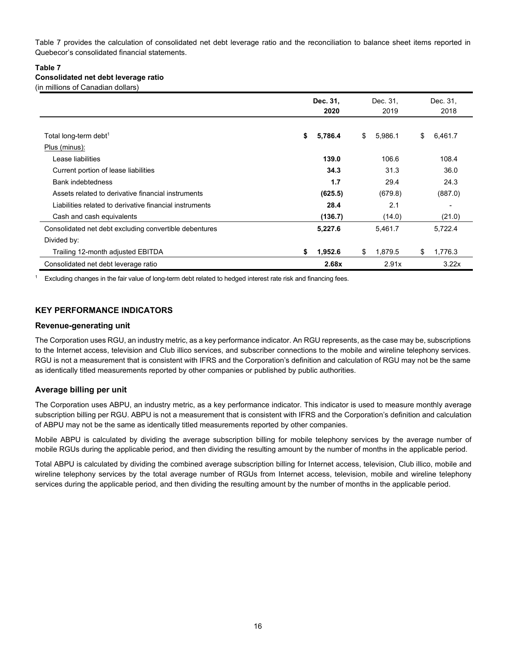Table 7 provides the calculation of consolidated net debt leverage ratio and the reconciliation to balance sheet items reported in Quebecor's consolidated financial statements.

#### **Table 7 Consolidated net debt leverage ratio** (in millions of Canadian dollars)

|                                                         | Dec. 31,<br>2020 | Dec. 31,<br>2019 | Dec. 31,<br>2018 |
|---------------------------------------------------------|------------------|------------------|------------------|
| Total long-term debt <sup>1</sup>                       | \$<br>5,786.4    | \$<br>5,986.1    | \$<br>6,461.7    |
|                                                         |                  |                  |                  |
| Plus (minus):                                           |                  |                  |                  |
| Lease liabilities                                       | 139.0            | 106.6            | 108.4            |
| Current portion of lease liabilities                    | 34.3             | 31.3             | 36.0             |
| <b>Bank indebtedness</b>                                | 1.7              | 29.4             | 24.3             |
| Assets related to derivative financial instruments      | (625.5)          | (679.8)          | (887.0)          |
| Liabilities related to derivative financial instruments | 28.4             | 2.1              |                  |
| Cash and cash equivalents                               | (136.7)          | (14.0)           | (21.0)           |
| Consolidated net debt excluding convertible debentures  | 5,227.6          | 5,461.7          | 5,722.4          |
| Divided by:                                             |                  |                  |                  |
| Trailing 12-month adjusted EBITDA                       | 1,952.6<br>\$    | \$<br>1,879.5    | 1,776.3<br>\$    |
| Consolidated net debt leverage ratio                    | 2.68x            | 2.91x            | 3.22x            |

<sup>1</sup> Excluding changes in the fair value of long-term debt related to hedged interest rate risk and financing fees.

### **KEY PERFORMANCE INDICATORS**

#### **Revenue-generating unit**

The Corporation uses RGU, an industry metric, as a key performance indicator. An RGU represents, as the case may be, subscriptions to the Internet access, television and Club illico services, and subscriber connections to the mobile and wireline telephony services. RGU is not a measurement that is consistent with IFRS and the Corporation's definition and calculation of RGU may not be the same as identically titled measurements reported by other companies or published by public authorities.

#### **Average billing per unit**

The Corporation uses ABPU, an industry metric, as a key performance indicator. This indicator is used to measure monthly average subscription billing per RGU. ABPU is not a measurement that is consistent with IFRS and the Corporation's definition and calculation of ABPU may not be the same as identically titled measurements reported by other companies.

Mobile ABPU is calculated by dividing the average subscription billing for mobile telephony services by the average number of mobile RGUs during the applicable period, and then dividing the resulting amount by the number of months in the applicable period.

Total ABPU is calculated by dividing the combined average subscription billing for Internet access, television, Club illico, mobile and wireline telephony services by the total average number of RGUs from Internet access, television, mobile and wireline telephony services during the applicable period, and then dividing the resulting amount by the number of months in the applicable period.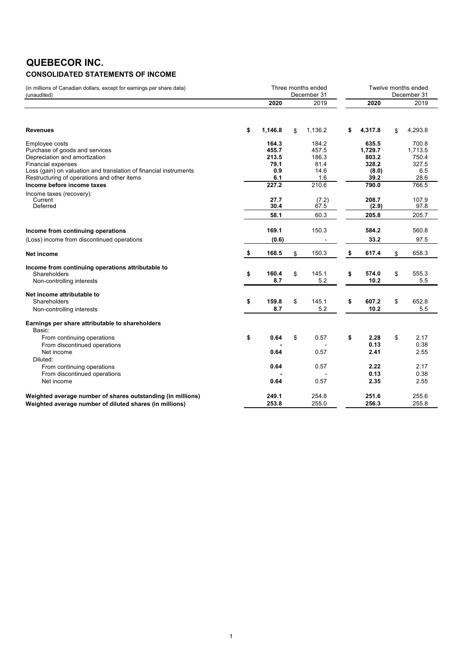## **QUEBECOR INC. CONSOLIDATED STATEMENTS OF INCOME**

| (in millions of Canadian dollars, except for earnings per share data)<br>(unaudited)                                                                                                |                                        | Three months ended<br>December 31 | Twelve months ended<br>December 31      |    |                                             |    |                                           |  |
|-------------------------------------------------------------------------------------------------------------------------------------------------------------------------------------|----------------------------------------|-----------------------------------|-----------------------------------------|----|---------------------------------------------|----|-------------------------------------------|--|
|                                                                                                                                                                                     | 2020                                   |                                   | 2019                                    |    | 2020                                        |    | 2019                                      |  |
| <b>Revenues</b>                                                                                                                                                                     | \$<br>1,146.8                          | \$                                | 1,136.2                                 | \$ | 4,317.8                                     | \$ | 4,293.8                                   |  |
| Employee costs<br>Purchase of goods and services<br>Depreciation and amortization<br><b>Financial expenses</b><br>Loss (gain) on valuation and translation of financial instruments | 164.3<br>455.7<br>213.5<br>79.1<br>0.9 |                                   | 184.2<br>457.5<br>186.3<br>81.4<br>14.6 |    | 635.5<br>1.729.7<br>803.2<br>328.2<br>(8.0) |    | 700.8<br>1.713.5<br>750.4<br>327.5<br>6.5 |  |
| Restructuring of operations and other items<br>Income before income taxes                                                                                                           | 6.1<br>227.2                           |                                   | 1.6<br>210.6                            |    | 39.2<br>790.0                               |    | 28.6<br>766.5                             |  |
| Income taxes (recovery):<br>Current<br>Deferred                                                                                                                                     | 27.7<br>30.4                           |                                   | (7.2)<br>67.5                           |    | 208.7<br>(2.9)                              |    | 107.9<br>97.8                             |  |
|                                                                                                                                                                                     | 58.1                                   |                                   | 60.3                                    |    | 205.8                                       |    | 205.7                                     |  |
| Income from continuing operations                                                                                                                                                   | 169.1                                  |                                   | 150.3                                   |    | 584.2                                       |    | 560.8                                     |  |
| (Loss) income from discontinued operations                                                                                                                                          | (0.6)                                  |                                   |                                         |    | 33.2                                        |    | 97.5                                      |  |
| Net income                                                                                                                                                                          | \$<br>168.5                            | \$                                | 150.3                                   | \$ | 617.4                                       | \$ | 658.3                                     |  |
| Income from continuing operations attributable to<br>Shareholders<br>Non-controlling interests                                                                                      | \$<br>160.4<br>8.7                     | \$                                | 145.1<br>5.2                            | \$ | 574.0<br>10.2                               | \$ | 555.3<br>5.5                              |  |
| Net income attributable to<br>Shareholders<br>Non-controlling interests                                                                                                             | \$<br>159.8<br>8.7                     | \$                                | 145.1<br>5.2                            | \$ | 607.2<br>10.2                               | \$ | 652.8<br>5.5                              |  |
| Earnings per share attributable to shareholders<br>Basic:                                                                                                                           |                                        |                                   |                                         |    |                                             |    |                                           |  |
| From continuing operations<br>From discontinued operations<br>Net income                                                                                                            | \$<br>0.64<br>0.64                     | \$                                | 0.57<br>0.57                            | \$ | 2.28<br>0.13<br>2.41                        | \$ | 2.17<br>0.38<br>2.55                      |  |
| Diluted:<br>From continuing operations<br>From discontinued operations<br>Net income                                                                                                | 0.64<br>0.64                           |                                   | 0.57<br>0.57                            |    | 2.22<br>0.13<br>2.35                        |    | 2.17<br>0.38<br>2.55                      |  |
|                                                                                                                                                                                     |                                        |                                   |                                         |    |                                             |    |                                           |  |
| Weighted average number of shares outstanding (in millions)<br>Weighted average number of diluted shares (in millions)                                                              | 249.1<br>253.8                         |                                   | 254.8<br>255.0                          |    | 251.6<br>256.3                              |    | 255.6<br>255.8                            |  |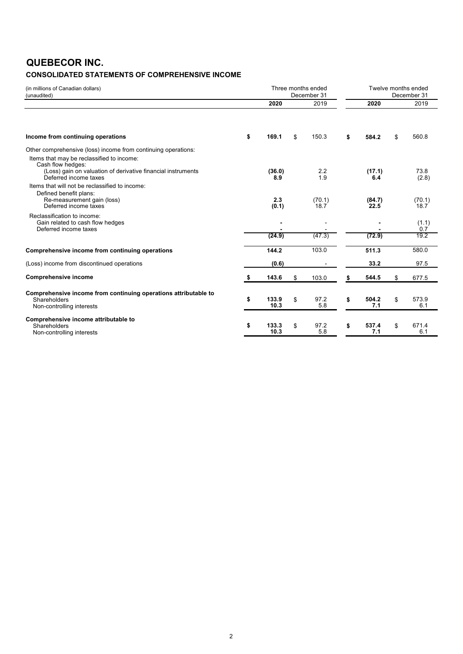# **QUEBECOR INC.**

### **CONSOLIDATED STATEMENTS OF COMPREHENSIVE INCOME**

| (in millions of Canadian dollars)<br>(unaudited)                                                                                                                                                          |                     | Three months ended<br>December 31 | Twelve months ended<br>December 31 |                |    |                |  |  |  |
|-----------------------------------------------------------------------------------------------------------------------------------------------------------------------------------------------------------|---------------------|-----------------------------------|------------------------------------|----------------|----|----------------|--|--|--|
|                                                                                                                                                                                                           | 2020                | 2019                              |                                    | 2020           |    | 2019           |  |  |  |
| Income from continuing operations                                                                                                                                                                         | \$<br>169.1         | \$<br>150.3                       | \$                                 | 584.2          | \$ | 560.8          |  |  |  |
| Other comprehensive (loss) income from continuing operations:                                                                                                                                             |                     |                                   |                                    |                |    |                |  |  |  |
| Items that may be reclassified to income:<br>Cash flow hedges:<br>(Loss) gain on valuation of derivative financial instruments<br>Deferred income taxes<br>Items that will not be reclassified to income: | (36.0)<br>8.9       | 2.2<br>1.9                        |                                    | (17.1)<br>6.4  |    | 73.8<br>(2.8)  |  |  |  |
| Defined benefit plans:<br>Re-measurement gain (loss)<br>Deferred income taxes                                                                                                                             | 2.3<br>(0.1)        | (70.1)<br>18.7                    |                                    | (84.7)<br>22.5 |    | (70.1)<br>18.7 |  |  |  |
| Reclassification to income:<br>Gain related to cash flow hedges<br>Deferred income taxes                                                                                                                  |                     |                                   |                                    |                |    | (1.1)<br>0.7   |  |  |  |
|                                                                                                                                                                                                           | (24.9)              | (47.3)                            |                                    | (72.9)         |    | 19.2           |  |  |  |
| Comprehensive income from continuing operations                                                                                                                                                           | 144.2               | 103.0                             |                                    | 511.3          |    | 580.0          |  |  |  |
| (Loss) income from discontinued operations                                                                                                                                                                | (0.6)               |                                   |                                    | 33.2           |    | 97.5           |  |  |  |
| <b>Comprehensive income</b>                                                                                                                                                                               | \$<br>143.6         | \$<br>103.0                       | \$                                 | 544.5          | \$ | 677.5          |  |  |  |
| Comprehensive income from continuing operations attributable to<br>Shareholders<br>Non-controlling interests                                                                                              | \$<br>133.9<br>10.3 | \$<br>97.2<br>5.8                 | \$                                 | 504.2<br>7.1   | \$ | 573.9<br>6.1   |  |  |  |
| Comprehensive income attributable to<br>Shareholders<br>Non-controlling interests                                                                                                                         | \$<br>133.3<br>10.3 | \$<br>97.2<br>5.8                 | \$                                 | 537.4<br>7.1   | \$ | 671.4<br>6.1   |  |  |  |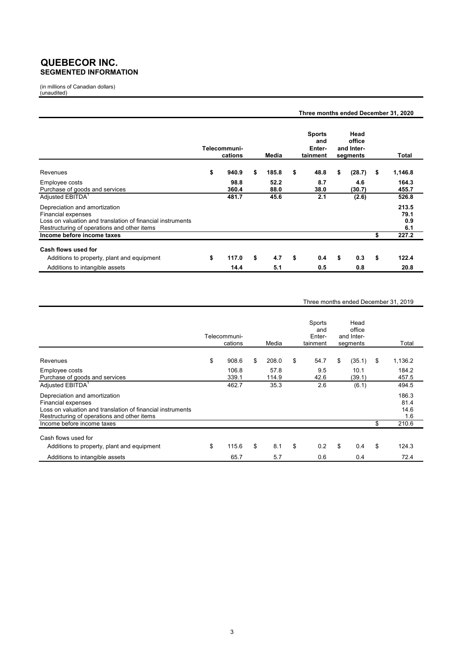### **QUEBECOR INC. SEGMENTED INFORMATION**

(in millions of Canadian dollars) (unaudited)

|                                                                                                                                                                  |                         |              | Three months ended December 31, 2020       |                                          |                             |
|------------------------------------------------------------------------------------------------------------------------------------------------------------------|-------------------------|--------------|--------------------------------------------|------------------------------------------|-----------------------------|
|                                                                                                                                                                  | Telecommuni-<br>cations | Media        | <b>Sports</b><br>and<br>Enter-<br>tainment | Head<br>office<br>and Inter-<br>segments | Total                       |
| Revenues                                                                                                                                                         | \$<br>940.9             | \$<br>185.8  | \$<br>48.8                                 | \$<br>(28.7)                             | \$<br>1,146.8               |
| Employee costs<br>Purchase of goods and services                                                                                                                 | 98.8<br>360.4           | 52.2<br>88.0 | 8.7<br>38.0                                | 4.6<br>(30.7)                            | 164.3<br>455.7              |
| Adjusted EBITDA <sup>1</sup>                                                                                                                                     | 481.7                   | 45.6         | 2.1                                        | (2.6)                                    | 526.8                       |
| Depreciation and amortization<br>Financial expenses<br>Loss on valuation and translation of financial instruments<br>Restructuring of operations and other items |                         |              |                                            |                                          | 213.5<br>79.1<br>0.9<br>6.1 |
| Income before income taxes                                                                                                                                       |                         |              |                                            |                                          | \$<br>227.2                 |
| Cash flows used for                                                                                                                                              |                         |              |                                            |                                          |                             |
| Additions to property, plant and equipment                                                                                                                       | \$<br>117.0             | \$<br>4.7    | \$<br>0.4                                  | \$<br>0.3                                | \$<br>122.4                 |
| Additions to intangible assets                                                                                                                                   | 14.4                    | 5.1          | 0.5                                        | 0.8                                      | 20.8                        |

#### Three months ended December 31, 2019

|                                                                                                                                                                         | Telecommuni-<br>cations | Media         | Sports<br>and<br>Enter-<br>tainment | Head<br>office<br>and Inter-<br>segments | Total                        |
|-------------------------------------------------------------------------------------------------------------------------------------------------------------------------|-------------------------|---------------|-------------------------------------|------------------------------------------|------------------------------|
| Revenues                                                                                                                                                                | \$<br>908.6             | \$<br>208.0   | \$<br>54.7                          | \$<br>(35.1)                             | \$<br>1,136.2                |
| Employee costs<br>Purchase of goods and services                                                                                                                        | 106.8<br>339.1          | 57.8<br>114.9 | 9.5<br>42.6                         | 10.1<br>(39.1)                           | 184.2<br>457.5               |
| Adjusted EBITDA <sup>1</sup>                                                                                                                                            | 462.7                   | 35.3          | 2.6                                 | (6.1)                                    | 494.5                        |
| Depreciation and amortization<br><b>Financial expenses</b><br>Loss on valuation and translation of financial instruments<br>Restructuring of operations and other items |                         |               |                                     |                                          | 186.3<br>81.4<br>14.6<br>1.6 |
| Income before income taxes                                                                                                                                              |                         |               |                                     |                                          | \$<br>210.6                  |
| Cash flows used for                                                                                                                                                     |                         |               |                                     |                                          |                              |
| Additions to property, plant and equipment                                                                                                                              | \$<br>115.6             | \$<br>8.1     | \$<br>0.2                           | \$<br>0.4                                | \$<br>124.3                  |
| Additions to intangible assets                                                                                                                                          | 65.7                    | 5.7           | 0.6                                 | 0.4                                      | 72.4                         |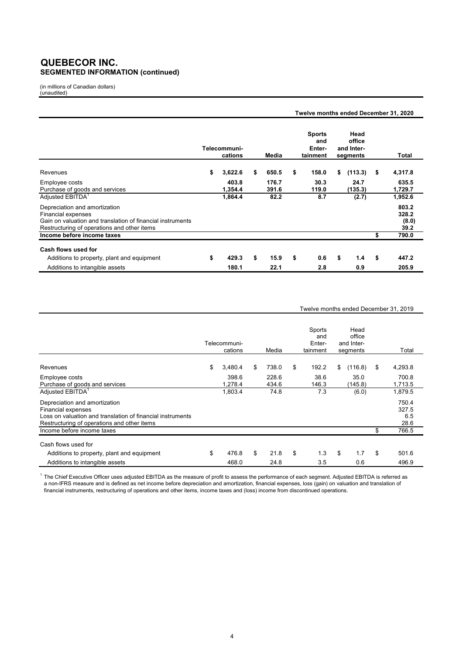### **QUEBECOR INC. SEGMENTED INFORMATION (continued)**

(in millions of Canadian dollars) (unaudited)

|                                                                                                                                                                  |                         |                | Twelve months ended December 31, 2020      |                                          |      |                                 |
|------------------------------------------------------------------------------------------------------------------------------------------------------------------|-------------------------|----------------|--------------------------------------------|------------------------------------------|------|---------------------------------|
|                                                                                                                                                                  | Telecommuni-<br>cations | Media          | <b>Sports</b><br>and<br>Enter-<br>tainment | Head<br>office<br>and Inter-<br>segments |      | Total                           |
| Revenues                                                                                                                                                         | \$<br>3,622.6           | \$<br>650.5    | \$<br>158.0                                | \$<br>(113.3)                            | - \$ | 4,317.8                         |
| Employee costs<br>Purchase of goods and services                                                                                                                 | 403.8<br>1,354.4        | 176.7<br>391.6 | 30.3<br>119.0                              | 24.7<br>(135.3)                          |      | 635.5<br>1,729.7                |
| Adjusted EBITDA <sup>1</sup>                                                                                                                                     | 1,864.4                 | 82.2           | 8.7                                        | (2.7)                                    |      | 1,952.6                         |
| Depreciation and amortization<br>Financial expenses<br>Gain on valuation and translation of financial instruments<br>Restructuring of operations and other items |                         |                |                                            |                                          |      | 803.2<br>328.2<br>(8.0)<br>39.2 |
| Income before income taxes                                                                                                                                       |                         |                |                                            |                                          | \$   | 790.0                           |
| Cash flows used for<br>Additions to property, plant and equipment                                                                                                | \$<br>429.3             | \$<br>15.9     | \$<br>0.6                                  | \$<br>1.4                                | \$   | 447.2                           |
| Additions to intangible assets                                                                                                                                   | 180.1                   | 22.1           | 2.8                                        | 0.9                                      |      | 205.9                           |

#### Twelve months ended December 31, 2019

|                                                                                                                                                                         | Telecommuni-<br>cations | Media          | Sports<br>and<br>Enter-<br>tainment | Head<br>office<br>and Inter-<br>segments | Total                         |
|-------------------------------------------------------------------------------------------------------------------------------------------------------------------------|-------------------------|----------------|-------------------------------------|------------------------------------------|-------------------------------|
| Revenues                                                                                                                                                                | \$<br>3,480.4           | \$<br>738.0    | \$<br>192.2                         | \$<br>(116.8)                            | \$<br>4,293.8                 |
| Employee costs<br>Purchase of goods and services                                                                                                                        | 398.6<br>1,278.4        | 228.6<br>434.6 | 38.6<br>146.3                       | 35.0<br>(145.8)                          | 700.8<br>1,713.5              |
| Adjusted EBITDA <sup>1</sup>                                                                                                                                            | 1,803.4                 | 74.8           | 7.3                                 | (6.0)                                    | 1,879.5                       |
| Depreciation and amortization<br><b>Financial expenses</b><br>Loss on valuation and translation of financial instruments<br>Restructuring of operations and other items |                         |                |                                     |                                          | 750.4<br>327.5<br>6.5<br>28.6 |
| Income before income taxes                                                                                                                                              |                         |                |                                     |                                          | \$<br>766.5                   |
| Cash flows used for<br>Additions to property, plant and equipment                                                                                                       | \$<br>476.8             | \$<br>21.8     | \$<br>1.3                           | \$<br>1.7                                | \$<br>501.6                   |
| Additions to intangible assets                                                                                                                                          | 468.0                   | 24.8           | 3.5                                 | 0.6                                      | 496.9                         |

 $1$  The Chief Executive Officer uses adjusted EBITDA as the measure of profit to assess the performance of each segment. Adjusted EBITDA is referred as a non-IFRS measure and is defined as net income before depreciation and amortization, financial expenses, loss (gain) on valuation and translation of financial instruments, restructuring of operations and other items, income taxes and (loss) income from discontinued operations.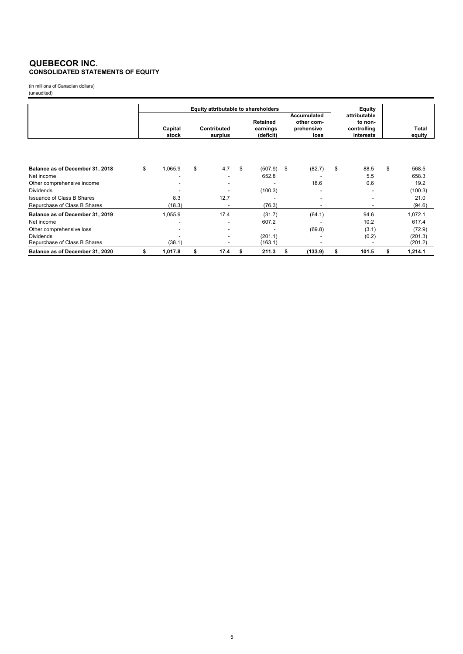#### **QUEBECOR INC. CONSOLIDATED STATEMENTS OF EQUITY**

(in millions of Canadian dollars) (unaudited)

|                                                  |    | Equity attributable to shareholders |                                                   |      |    |                                          |    |                                                        |                                                               |       |    |                    |
|--------------------------------------------------|----|-------------------------------------|---------------------------------------------------|------|----|------------------------------------------|----|--------------------------------------------------------|---------------------------------------------------------------|-------|----|--------------------|
|                                                  |    |                                     | <b>Contributed</b><br>Capital<br>stock<br>surplus |      |    | <b>Retained</b><br>earnings<br>(deficit) |    | <b>Accumulated</b><br>other com-<br>prehensive<br>loss | Equity<br>attributable<br>to non-<br>controlling<br>interests |       |    | Total<br>equity    |
|                                                  |    |                                     |                                                   |      |    |                                          |    |                                                        |                                                               |       |    |                    |
| Balance as of December 31, 2018                  | \$ | 1,065.9                             | \$                                                | 4.7  | \$ | (507.9)                                  | \$ | (82.7)                                                 | \$                                                            | 88.5  | \$ | 568.5              |
| Net income                                       |    |                                     |                                                   |      |    | 652.8                                    |    |                                                        |                                                               | 5.5   |    | 658.3              |
| Other comprehensive income                       |    |                                     |                                                   |      |    |                                          |    | 18.6                                                   |                                                               | 0.6   |    | 19.2               |
| <b>Dividends</b>                                 |    |                                     |                                                   |      |    | (100.3)                                  |    |                                                        |                                                               |       |    | (100.3)            |
| <b>Issuance of Class B Shares</b>                |    | 8.3                                 |                                                   | 12.7 |    |                                          |    |                                                        |                                                               |       |    | 21.0               |
| Repurchase of Class B Shares                     |    | (18.3)                              |                                                   |      |    | (76.3)                                   |    |                                                        |                                                               |       |    | (94.6)             |
| Balance as of December 31, 2019                  |    | 1,055.9                             |                                                   | 17.4 |    | (31.7)                                   |    | (64.1)                                                 |                                                               | 94.6  |    | 1,072.1            |
| Net income                                       |    |                                     |                                                   |      |    | 607.2                                    |    |                                                        |                                                               | 10.2  |    | 617.4              |
| Other comprehensive loss                         |    |                                     |                                                   |      |    |                                          |    | (69.8)                                                 |                                                               | (3.1) |    | (72.9)             |
| <b>Dividends</b><br>Repurchase of Class B Shares |    | (38.1)                              |                                                   |      |    | (201.1)<br>(163.1)                       |    |                                                        |                                                               | (0.2) |    | (201.3)<br>(201.2) |
| Balance as of December 31, 2020                  | S  | 1,017.8                             | \$                                                | 17.4 | s  | 211.3                                    | S  | (133.9)                                                | \$                                                            | 101.5 | \$ | 1,214.1            |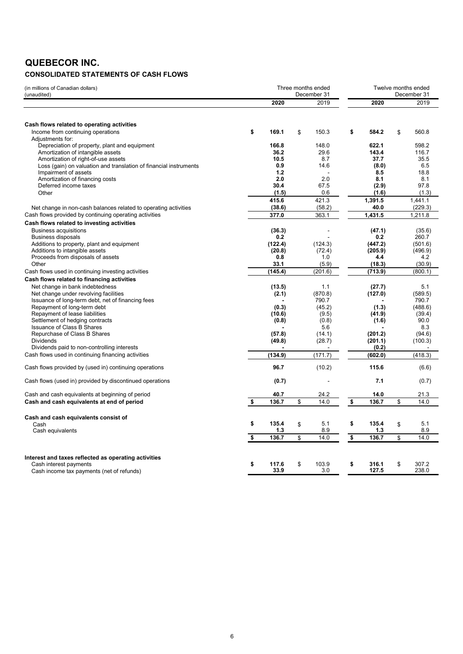# **QUEBECOR INC.**

### **CONSOLIDATED STATEMENTS OF CASH FLOWS**

| (in millions of Canadian dollars)<br>(unaudited)                  | Three months ended<br>December 31 |               |    | Twelve months ended<br>December 31 |    |                |    |                |
|-------------------------------------------------------------------|-----------------------------------|---------------|----|------------------------------------|----|----------------|----|----------------|
|                                                                   |                                   | 2020          |    | 2019                               |    | 2020           |    | 2019           |
|                                                                   |                                   |               |    |                                    |    |                |    |                |
| Cash flows related to operating activities                        |                                   |               |    |                                    |    |                |    |                |
| Income from continuing operations                                 | \$                                | 169.1         | \$ | 150.3                              | \$ | 584.2          | \$ | 560.8          |
| Adjustments for:<br>Depreciation of property, plant and equipment |                                   | 166.8         |    | 148.0                              |    | 622.1          |    | 598.2          |
| Amortization of intangible assets                                 |                                   | 36.2          |    | 29.6                               |    | 143.4          |    | 116.7          |
| Amortization of right-of-use assets                               |                                   | 10.5          |    | 8.7                                |    | 37.7           |    | 35.5           |
| Loss (gain) on valuation and translation of financial instruments |                                   | 0.9           |    | 14.6                               |    | (8.0)          |    | 6.5            |
| Impairment of assets                                              |                                   | 1.2           |    |                                    |    | 8.5            |    | 18.8           |
| Amortization of financing costs                                   |                                   | 2.0           |    | 2.0                                |    | 8.1            |    | 8.1            |
| Deferred income taxes                                             |                                   | 30.4          |    | 67.5                               |    | (2.9)          |    | 97.8           |
| Other                                                             |                                   | (1.5)         |    | 0.6                                |    | (1.6)          |    | (1.3)          |
|                                                                   |                                   | 415.6         |    | 421.3                              |    | 1,391.5        |    | 1.441.1        |
| Net change in non-cash balances related to operating activities   |                                   | (38.6)        |    | (58.2)                             |    | 40.0           |    | (229.3)        |
|                                                                   |                                   |               |    |                                    |    |                |    |                |
| Cash flows provided by continuing operating activities            |                                   | 377.0         |    | 363.1                              |    | 1,431.5        |    | 1,211.8        |
| Cash flows related to investing activities                        |                                   |               |    |                                    |    |                |    |                |
| <b>Business acquisitions</b>                                      |                                   | (36.3)        |    |                                    |    | (47.1)         |    | (35.6)         |
| <b>Business disposals</b>                                         |                                   | 0.2           |    |                                    |    | 0.2            |    | 260.7          |
| Additions to property, plant and equipment                        |                                   | (122.4)       |    | (124.3)                            |    | (447.2)        |    | (501.6)        |
| Additions to intangible assets                                    |                                   | (20.8)        |    | (72.4)                             |    | (205.9)        |    | (496.9)        |
| Proceeds from disposals of assets                                 |                                   | 0.8           |    | 1.0                                |    | 4.4            |    | 4.2            |
| Other                                                             |                                   | 33.1          |    | (5.9)                              |    | (18.3)         |    | (30.9)         |
| Cash flows used in continuing investing activities                |                                   | (145.4)       |    | (201.6)                            |    | (713.9)        |    | (800.1)        |
| Cash flows related to financing activities                        |                                   |               |    |                                    |    |                |    |                |
| Net change in bank indebtedness                                   |                                   | (13.5)        |    | 1.1                                |    | (27.7)         |    | 5.1            |
| Net change under revolving facilities                             |                                   | (2.1)         |    | (870.8)                            |    | (127.0)        |    | (589.5)        |
| Issuance of long-term debt, net of financing fees                 |                                   |               |    | 790.7                              |    |                |    | 790.7          |
| Repayment of long-term debt                                       |                                   | (0.3)         |    | (45.2)                             |    | (1.3)          |    | (488.6)        |
| Repayment of lease liabilities                                    |                                   | (10.6)        |    | (9.5)                              |    | (41.9)         |    | (39.4)         |
| Settlement of hedging contracts                                   |                                   | (0.8)         |    | (0.8)                              |    | (1.6)          |    | 90.0           |
| <b>Issuance of Class B Shares</b>                                 |                                   |               |    | 5.6                                |    |                |    | 8.3            |
| Repurchase of Class B Shares                                      |                                   | (57.8)        |    | (14.1)                             |    | (201.2)        |    | (94.6)         |
| <b>Dividends</b>                                                  |                                   | (49.8)        |    | (28.7)                             |    | (201.1)        |    | (100.3)        |
| Dividends paid to non-controlling interests                       |                                   |               |    |                                    |    | (0.2)          |    |                |
| Cash flows used in continuing financing activities                |                                   | (134.9)       |    | (171.7)                            |    | (602.0)        |    | (418.3)        |
| Cash flows provided by (used in) continuing operations            |                                   | 96.7          |    | (10.2)                             |    | 115.6          |    | (6.6)          |
| Cash flows (used in) provided by discontinued operations          |                                   | (0.7)         |    |                                    |    | 7.1            |    | (0.7)          |
| Cash and cash equivalents at beginning of period                  |                                   | 40.7          |    | 24.2                               |    | 14.0           |    | 21.3           |
| Cash and cash equivalents at end of period                        | \$                                | 136.7         | \$ | 14.0                               | \$ | 136.7          | \$ | 14.0           |
|                                                                   |                                   |               |    |                                    |    |                |    |                |
| Cash and cash equivalents consist of                              |                                   |               |    |                                    |    |                |    |                |
| Cash                                                              | \$                                | 135.4         | \$ | 5.1                                | \$ | 135.4          | \$ | 5.1            |
| Cash equivalents                                                  |                                   | 1.3           |    | 8.9                                |    | 1.3            |    | 8.9            |
|                                                                   | \$                                | 136.7         | \$ | 14.0                               | \$ | 136.7          | \$ | 14.0           |
|                                                                   |                                   |               |    |                                    |    |                |    |                |
| Interest and taxes reflected as operating activities              |                                   |               |    |                                    |    |                |    |                |
| Cash interest payments                                            | \$                                | 117.6<br>33.9 | \$ | 103.9<br>3.0                       | \$ | 316.1<br>127.5 | \$ | 307.2<br>238.0 |
| Cash income tax payments (net of refunds)                         |                                   |               |    |                                    |    |                |    |                |